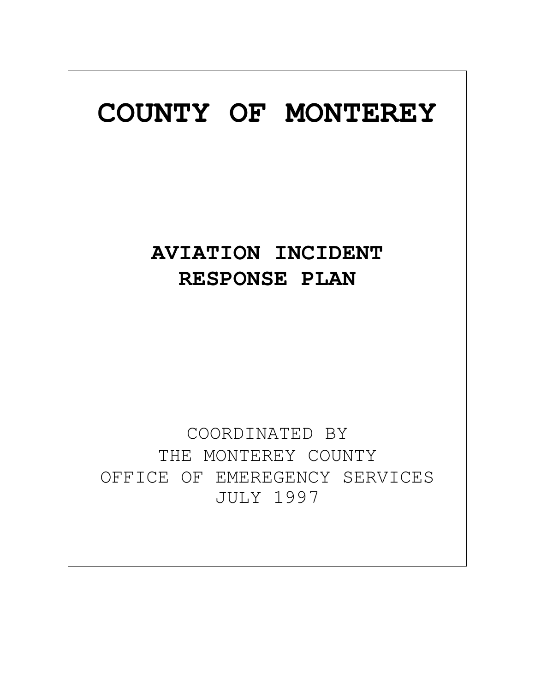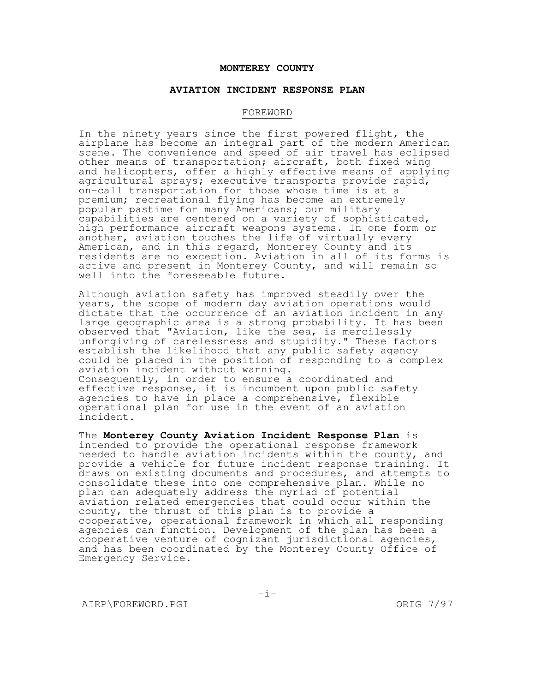#### **MONTEREY COUNTY**

#### **AVIATION INCIDENT RESPONSE PLAN**

#### FOREWORD

In the ninety years since the first powered flight, the airplane has become an integral part of the modern American scene. The convenience and speed of air travel has eclipsed other means of transportation; aircraft, both fixed wing and helicopters, offer a highly effective means of applying agricultural sprays; executive transports provide rapid, on-call transportation for those whose time is at a premium; recreational flying has become an extremely popular pastime for many Americans; our military capabilities are centered on a variety of sophisticated, high performance aircraft weapons systems. In one form or another, aviation touches the life of virtually every American, and in this regard, Monterey County and its residents are no exception. Aviation in all of its forms is active and present in Monterey County, and will remain so well into the foreseeable future.

Although aviation safety has improved steadily over the years, the scope of modern day aviation operations would dictate that the occurrence of an aviation incident in any large geographic area is a strong probability. It has been observed that "Aviation, like the sea, is mercilessly unforgiving of carelessness and stupidity." These factors establish the likelihood that any public safety agency could be placed in the position of responding to a complex aviation incident without warning. Consequently, in order to ensure a coordinated and effective response, it is incumbent upon public safety agencies to have in place a comprehensive, flexible operational plan for use in the event of an aviation incident.

The **Monterey County Aviation Incident Response Plan** is intended to provide the operational response framework needed to handle aviation incidents within the county, and provide a vehicle for future incident response training. It draws on existing documents and procedures, and attempts to consolidate these into one comprehensive plan. While no plan can adequately address the myriad of potential aviation related emergencies that could occur within the county, the thrust of this plan is to provide a cooperative, operational framework in which all responding agencies can function. Development of the plan has been a cooperative venture of cognizant jurisdictional agencies, and has been coordinated by the Monterey County Office of Emergency Service.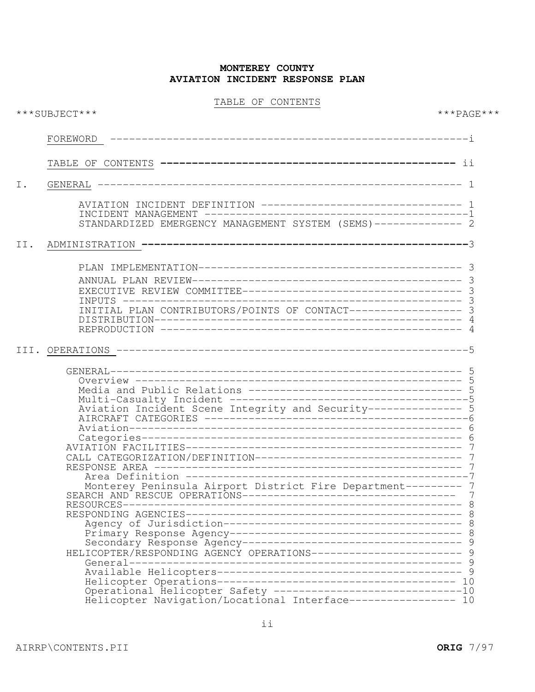TABLE OF CONTENTS

| ***SUBJECT***                                                                                                                                                                                                                                                                                                                                | $***PAGE***$                                                   |
|----------------------------------------------------------------------------------------------------------------------------------------------------------------------------------------------------------------------------------------------------------------------------------------------------------------------------------------------|----------------------------------------------------------------|
| FOREWORD                                                                                                                                                                                                                                                                                                                                     |                                                                |
|                                                                                                                                                                                                                                                                                                                                              |                                                                |
| GENERAL                                                                                                                                                                                                                                                                                                                                      |                                                                |
| AVIATION INCIDENT DEFINITION --------------------------------- 1<br>STANDARDIZED EMERGENCY MANAGEMENT SYSTEM (SEMS) ------------- 2                                                                                                                                                                                                          |                                                                |
|                                                                                                                                                                                                                                                                                                                                              |                                                                |
| INITIAL PLAN CONTRIBUTORS/POINTS OF CONTACT----------------- 3                                                                                                                                                                                                                                                                               |                                                                |
| Media and Public Relations ---------------------------------- 5<br>Aviation Incident Scene Integrity and Security--------------- 5<br>Monterey Peninsula Airport District Fire Department--------- 7<br>SEARCH AND RESCUE OPERATIONS-----------------------------------<br>HELICOPTER/RESPONDING AGENCY OPERATIONS------------------------ 9 | 8                                                              |
|                                                                                                                                                                                                                                                                                                                                              | Helicopter Navigation/Locational Interface----------------- 10 |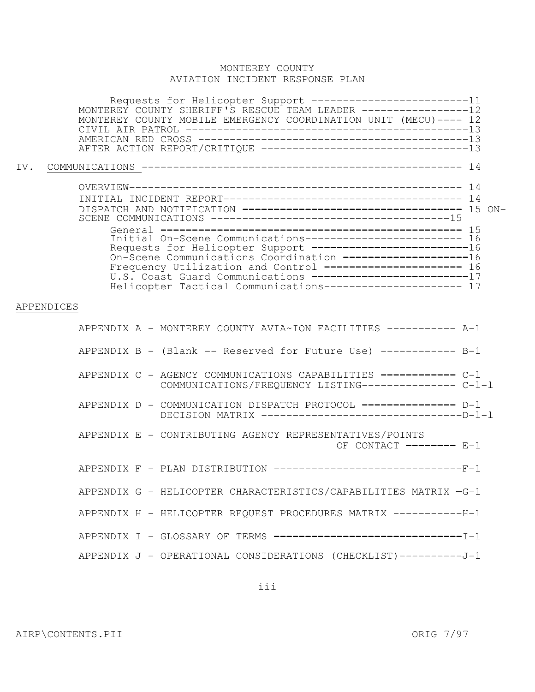|     | Requests for Helicopter Support ------------------------11<br>MONTEREY COUNTY SHERIFF'S RESCUE TEAM LEADER ----------------12<br>MONTEREY COUNTY MOBILE EMERGENCY COORDINATION UNIT (MECU) ---- 12                                                                                                                                                                                   |  |
|-----|--------------------------------------------------------------------------------------------------------------------------------------------------------------------------------------------------------------------------------------------------------------------------------------------------------------------------------------------------------------------------------------|--|
| IV. |                                                                                                                                                                                                                                                                                                                                                                                      |  |
|     |                                                                                                                                                                                                                                                                                                                                                                                      |  |
|     | Initial On-Scene Communications------------------------ 16<br>Requests for Helicopter Support -------------------------16<br>On-Scene Communications Coordination --------------------16<br>Frequency Utilization and Control --------------------- 16<br>U.S. Coast Guard Communications -------------------------17<br>Helicopter Tactical Communications---------------------- 17 |  |
|     | APPENDICES                                                                                                                                                                                                                                                                                                                                                                           |  |
|     | APPENDIX A - MONTEREY COUNTY AVIA~ION FACILITIES ----------- A-1                                                                                                                                                                                                                                                                                                                     |  |
|     | APPENDIX B - (Blank -- Reserved for Future Use) ------------ B-1                                                                                                                                                                                                                                                                                                                     |  |
|     | APPENDIX C - AGENCY COMMUNICATIONS CAPABILITIES ------------ C-1<br>COMMUNICATIONS/FREQUENCY LISTING--------------- C-1-1                                                                                                                                                                                                                                                            |  |
|     | APPENDIX D - COMMUNICATION DISPATCH PROTOCOL -------------- D-1                                                                                                                                                                                                                                                                                                                      |  |
|     | APPENDIX E - CONTRIBUTING AGENCY REPRESENTATIVES/POINTS<br>OF CONTACT -------- E-1                                                                                                                                                                                                                                                                                                   |  |
|     | APPENDIX F - PLAN DISTRIBUTION -----------------------------F-1                                                                                                                                                                                                                                                                                                                      |  |
|     | APPENDIX G - HELICOPTER CHARACTERISTICS/CAPABILITIES MATRIX -G-1                                                                                                                                                                                                                                                                                                                     |  |
|     | APPENDIX H - HELICOPTER REQUEST PROCEDURES MATRIX -----------H-1                                                                                                                                                                                                                                                                                                                     |  |
|     | APPENDIX I - GLOSSARY OF TERMS ----------------------------------                                                                                                                                                                                                                                                                                                                    |  |
|     | APPENDIX J - OPERATIONAL CONSIDERATIONS (CHECKLIST) ----------J-1                                                                                                                                                                                                                                                                                                                    |  |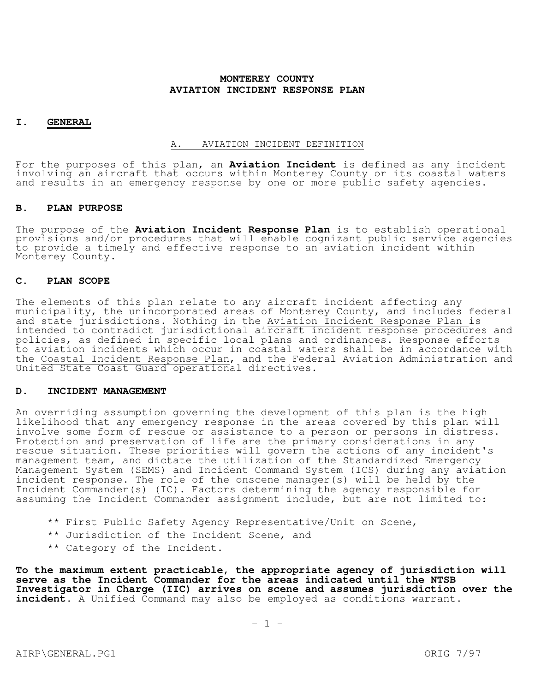#### **I. GENERAL**

#### A. AVIATION INCIDENT DEFINITION

For the purposes of this plan, an **Aviation Incident** is defined as any incident involving an aircraft that occurs within Monterey County or its coastal waters and results in an emergency response by one or more public safety agencies.

#### **B. PLAN PURPOSE**

The purpose of the **Aviation Incident Response Plan** is to establish operational provisions and/or procedures that will enable cognizant public service agencies to provide a timely and effective response to an aviation incident within Monterey County.

#### **C. PLAN SCOPE**

The elements of this plan relate to any aircraft incident affecting any municipality, the unincorporated areas of Monterey County, and includes federal and state jurisdictions. Nothing in the Aviation Incident Response Plan is intended to contradict jurisdictional aircraft incident response procedures and policies, as defined in specific local plans and ordinances. Response efforts to aviation incidents which occur in coastal waters shall be in accordance with the Coastal Incident Response Plan, and the Federal Aviation Administration and United State Coast Guard operational directives.

#### **D. INCIDENT MANAGEMENT**

An overriding assumption governing the development of this plan is the high likelihood that any emergency response in the areas covered by this plan will involve some form of rescue or assistance to a person or persons in distress. Protection and preservation of life are the primary considerations in any rescue situation. These priorities will govern the actions of any incident's management team, and dictate the utilization of the Standardized Emergency Management System (SEMS) and Incident Command System (ICS) during any aviation incident response. The role of the onscene manager(s) will be held by the Incident Commander(s) (IC). Factors determining the agency responsible for assuming the Incident Commander assignment include, but are not limited to:

- \*\* First Public Safety Agency Representative/Unit on Scene,
- \*\* Jurisdiction of the Incident Scene, and
- \*\* Category of the Incident.

**To the maximum extent practicable, the appropriate agency of jurisdiction will serve as the Incident Commander for the areas indicated until the NTSB Investigator in Charge (IIC) arrives on scene and assumes jurisdiction over the incident.** A Unified Command may also be employed as conditions warrant.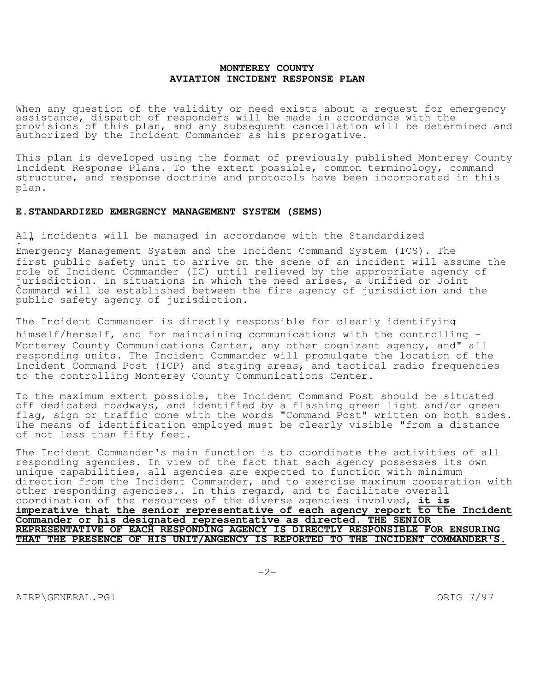When any question of the validity or need exists about a request for emergency assistance, dispatch of responders will be made in accordance with the provisions of this plan, and any subsequent cancellation will be determined and authorized by the Incident Commander as his prerogative.

This plan is developed using the format of previously published Monterey County Incident Response Plans. To the extent possible, common terminology, command structure, and response doctrine and protocols have been incorporated in this plan.

#### **E.STANDARDIZED EMERGENCY MANAGEMENT SYSTEM (SEMS)**

All incidents will be managed in accordance with the Standardized

Emergency Management System and the Incident Command System (ICS). The first public safety unit to arrive on the scene of an incident will assume the role of Incident Commander (IC) until relieved by the appropriate agency of jurisdiction. In situations in which the need arises, a Unified or Joint Command will be established between the fire agency of jurisdiction and the public safety agency of jurisdiction.

The Incident Commander is directly responsible for clearly identifying himself/herself, and for maintaining communications with the controlling - Monterey County Communications Center, any other cognizant agency, and" all responding units. The Incident Commander will promulgate the location of the Incident Command Post (ICP) and staging areas, and tactical radio frequencies to the controlling Monterey County Communications Center.

To the maximum extent possible, the Incident Command Post should be situated off dedicated roadways, and identified by a flashing green light and/or green flag, sign or traffic cone with the words "Command Post" written on both sides. The means of identification employed must be clearly visible "from a distance of not less than fifty feet.

The Incident Commander's main function is to coordinate the activities of all responding agencies. In view of the fact that each agency possesses its own unique capabilities, all agencies are expected to function with minimum direction from the Incident Commander, and to exercise maximum cooperation with other responding agencies.. In this regard, and to facilitate overall coordination of the resources of the diverse agencies involved, **it is imperative that the senior representative of each agency report to the Incident Commander or his designated representative as directed. THE SENIOR REPRESENTATIVE OF EACH RESPONDING AGENCY IS DIRECTLY RESPONSIBLE FOR ENSURING THAT THE PRESENCE OF HIS UNIT/ANGENCY IS REPORTED TO THE INCIDENT COMMANDER'S.** 

AIRP\GENERAL.PGl ORIG 7/97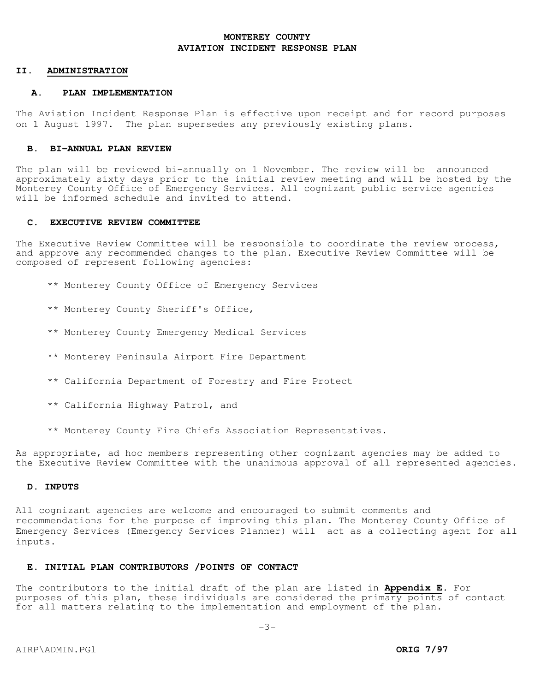#### **II. ADMINISTRATION**

#### **A. PLAN IMPLEMENTATION**

The Aviation Incident Response Plan is effective upon receipt and for record purposes on 1 August 1997. The plan supersedes any previously existing plans.

#### **B. BI-ANNUAL PLAN REVIEW**

The plan will be reviewed bi-annually on 1 November. The review will be announced approximately sixty days prior to the initial review meeting and will be hosted by the Monterey County Office of Emergency Services. All cognizant public service agencies will be informed schedule and invited to attend.

### **C. EXECUTIVE REVIEW COMMITTEE**

The Executive Review Committee will be responsible to coordinate the review process, and approve any recommended changes to the plan. Executive Review Committee will be composed of represent following agencies:

- \*\* Monterey County Office of Emergency Services
- \*\* Monterey County Sheriff's Office,
- \*\* Monterey County Emergency Medical Services
- \*\* Monterey Peninsula Airport Fire Department
- \*\* California Department of Forestry and Fire Protect
- \*\* California Highway Patrol, and
- \*\* Monterey County Fire Chiefs Association Representatives.

As appropriate, ad hoc members representing other cognizant agencies may be added to the Executive Review Committee with the unanimous approval of all represented agencies.

#### **D. INPUTS**

All cognizant agencies are welcome and encouraged to submit comments and recommendations for the purpose of improving this plan. The Monterey County Office of Emergency Services (Emergency Services Planner) will act as a collecting agent for all inputs.

## **E. INITIAL PLAN CONTRIBUTORS /POINTS OF CONTACT**

The contributors to the initial draft of the plan are listed in **Appendix E.** For purposes of this plan, these individuals are considered the primary points of contact for all matters relating to the implementation and employment of the plan.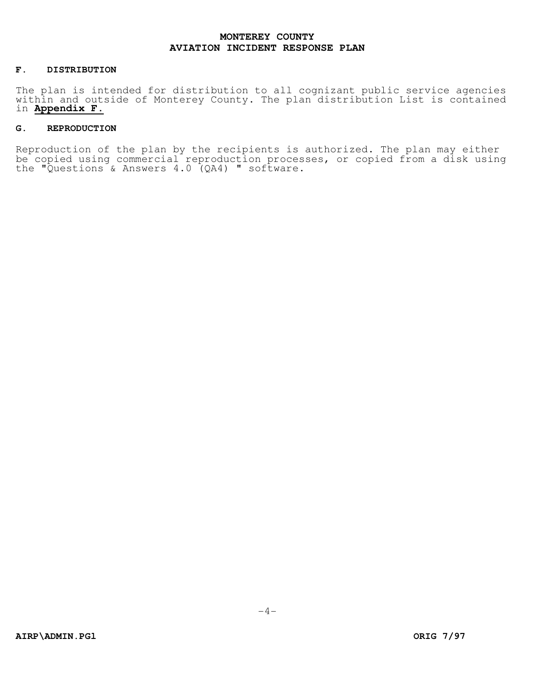#### **F. DISTRIBUTION**

The plan is intended for distribution to all cognizant public service agencies within and outside of Monterey County. The plan distribution List is contained in **Appendix F.** 

## **G. REPRODUCTION**

Reproduction of the plan by the recipients is authorized. The plan may either be copied using commercial reproduction processes, or copied from a disk using the "Questions & Answers 4.0 (QA4) " software.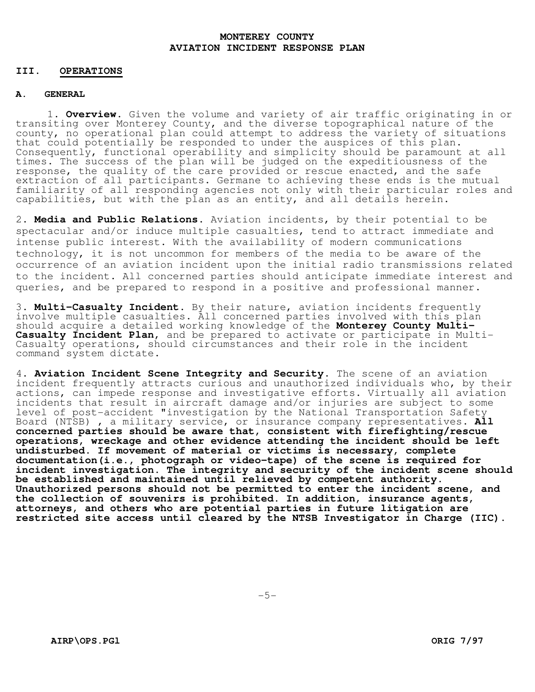### **III. OPERATIONS**

## **A. GENERAL**

1. **Overview.** Given the volume and variety of air traffic originating in or transiting over Monterey County, and the diverse topographical nature of the county, no operational plan could attempt to address the variety of situations that could potentially be responded to under the auspices of this plan. Consequently, functional operability and simplicity should be paramount at all times. The success of the plan will be judged on the expeditiousness of the response, the quality of the care provided or rescue enacted, and the safe extraction of all participants. Germane to achieving these ends is the mutual familiarity of all responding agencies not only with their particular roles and capabilities, but with the plan as an entity, and all details herein.

2. **Media and Public Relations.** Aviation incidents, by their potential to be spectacular and/or induce multiple casualties, tend to attract immediate and intense public interest. With the availability of modern communications technology, it is not uncommon for members of the media to be aware of the occurrence of an aviation incident upon the initial radio transmissions related to the incident. All concerned parties should anticipate immediate interest and queries, and be prepared to respond in a positive and professional manner.

3. **Multi-Casualty Incident.** By their nature, aviation incidents frequently involve multiple casualties. All concerned parties involved with this plan should acquire a detailed working knowledge of the **Monterey County Multi-Casualty Incident Plan,** and be prepared to activate or participate in Multi-Casualty operations, should circumstances and their role in the incident command system dictate.

4. **Aviation Incident Scene Integrity and Security.** The scene of an aviation incident frequently attracts curious and unauthorized individuals who, by their actions, can impede response and investigative efforts. Virtually all aviation incidents that result in aircraft damage and/or injuries are subject to some level of post-accident "investigation by the National Transportation Safety Board (NTSB) , a military service, or insurance company representatives. **All concerned parties should be aware that, consistent with firefighting/rescue operations, wreckage and other evidence attending the incident should be left undisturbed. If movement of material or victims is necessary, complete documentation(i.e., photograph or video-tape) of the scene is required for incident investigation. The integrity and security of the incident scene should be established and maintained until relieved by competent authority. Unauthorized persons should not be permitted to enter the incident scene, and the collection of souvenirs is prohibited. In addition, insurance agents, attorneys, and others who are potential parties in future litigation are restricted site access until cleared by the NTSB Investigator in Charge (IIC).**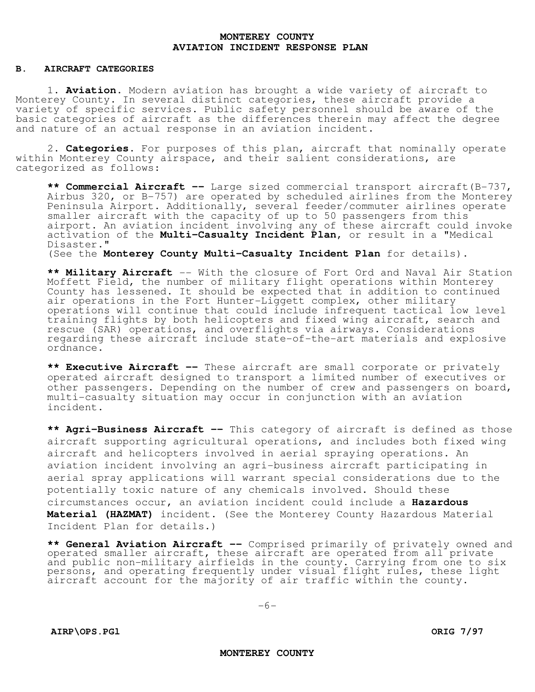#### **B. AIRCRAFT CATEGORIES**

1. **Aviation.** Modern aviation has brought a wide variety of aircraft to Monterey County. In several distinct categories, these aircraft provide a variety of specific services. Public safety personnel should be aware of the basic categories of aircraft as the differences therein may affect the degree and nature of an actual response in an aviation incident.

2. **Categories.** For purposes of this plan, aircraft that nominally operate within Monterey County airspace, and their salient considerations, are categorized as follows:

**\*\* Commercial Aircraft --** Large sized commercial transport aircraft(B-737, Airbus 320, or B-757) are operated by scheduled airlines from the Monterey Peninsula Airport. Additionally, several feeder/commuter airlines operate smaller aircraft with the capacity of up to 50 passengers from this airport. An aviation incident involving any of these aircraft could invoke activation of the **Multi-Casualty Incident Plan,** or result in a "Medical Disaster."

(See the **Monterey County Multi-Casualty Incident Plan** for details).

\*\* **Military Aircraft** -- With the closure of Fort Ord and Naval Air Station Moffett Field, the number of military flight operations within Monterey County has lessened. It should be expected that in addition to continued air operations in the Fort Hunter-Liggett complex, other military operations will continue that could include infrequent tactical low level training flights by both helicopters and fixed wing aircraft, search and rescue (SAR) operations, and overflights via airways. Considerations regarding these aircraft include state-of-the-art materials and explosive ordnance.

**\*\* Executive Aircraft --** These aircraft are small corporate or privately operated aircraft designed to transport a limited number of executives or other passengers. Depending on the number of crew and passengers on board, multi-casualty situation may occur in conjunction with an aviation incident.

**\*\* Agri-Business Aircraft --** This category of aircraft is defined as those aircraft supporting agricultural operations, and includes both fixed wing aircraft and helicopters involved in aerial spraying operations. An aviation incident involving an agri-business aircraft participating in aerial spray applications will warrant special considerations due to the potentially toxic nature of any chemicals involved. Should these circumstances occur, an aviation incident could include a **Hazardous Material (HAZMAT)** incident. (See the Monterey County Hazardous Material Incident Plan for details.)

**\*\* General Aviation Aircraft --** Comprised primarily of privately owned and operated smaller aircraft, these aircraft are operated from all private and public non-military airfields in the county. Carrying from one to six persons, and operating frequently under visual flight rules, these light aircraft account for the majority of air traffic within the county.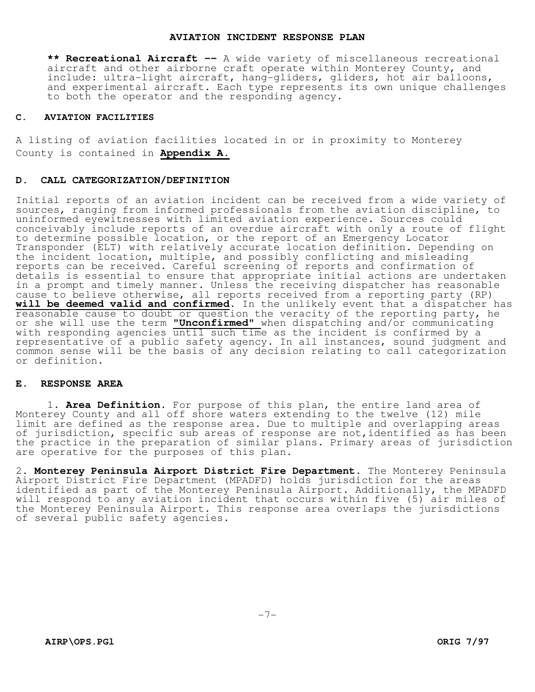#### **AVIATION INCIDENT RESPONSE PLAN**

**\*\* Recreational Aircraft --** A wide variety of miscellaneous recreational aircraft and other airborne craft operate within Monterey County, and include: ultra-light aircraft, hang-gliders, gliders, hot air balloons, and experimental aircraft. Each type represents its own unique challenges to both the operator and the responding agency.

#### **C. AVIATION FACILITIES**

A listing of aviation facilities located in or in proximity to Monterey County is contained in **Appendix A.** 

#### **D. CALL CATEGORIZATION/DEFINITION**

Initial reports of an aviation incident can be received from a wide variety of sources, ranging from informed professionals from the aviation discipline, to uninformed eyewitnesses with limited aviation experience. Sources could conceivably include reports of an overdue aircraft with only a route of flight to determine possible location, or the report of an Emergency Locator Transponder (ELT) with relatively accurate location definition. Depending on the incident location, multiple, and possibly conflicting and misleading reports can be received. Careful screening of reports and confirmation of details is essential to ensure that appropriate initial actions are undertaken in a prompt and timely manner. Unless the receiving dispatcher has reasonable cause to believe otherwise, all reports received from a reporting party (RP) **will be deemed valid and confirmed**. In the unlikely event that a dispatcher has reasonable cause to doubt or question the veracity of the reporting party, he or she will use the term **"Unconfirmed"** when dispatching and/or communicating with responding agencies until such time as the incident is confirmed by a representative of a public safety agency. In all instances, sound judgment and common sense will be the basis of any decision relating to call categorization or definition.

#### **E. RESPONSE AREA**

1. **Area Definition.** For purpose of this plan, the entire land area of Monterey County and all off shore waters extending to the twelve (12) mile limit are defined as the response area. Due to multiple and overlapping areas of jurisdiction, specific sub areas of response are not,identified as has been the practice in the preparation of similar plans. Primary areas of jurisdiction are operative for the purposes of this plan.

2. **Monterey Peninsula Airport District Fire Department.** The Monterey Peninsula Airport District Fire Department (MPADFD) holds jurisdiction for the areas identified as part of the Monterey Peninsula Airport. Additionally, the MPADFD will respond to any aviation incident that occurs within five (5) air miles of the Monterey Peninsula Airport. This response area overlaps the jurisdictions of several public safety agencies.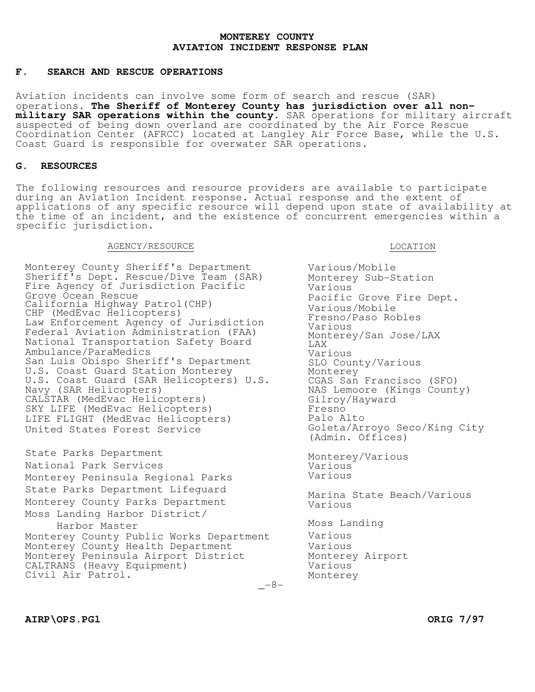## **F. SEARCH AND RESCUE OPERATIONS**

Aviation incidents can involve some form of search and rescue (SAR) operations. **The Sheriff of Monterey County has jurisdiction over all nonmilitary SAR operations within the county.** SAR operations for military aircraft suspected of being down overland are coordinated by the Air Force Rescue Coordination Center (AFRCC) located at Langley Air Force Base, while the U.S. Coast Guard is responsible for overwater SAR operations.

## **G. RESOURCES**

The following resources and resource providers are available to participate during an Av1at1on Incident response. Actual response and the extent of applications of any specific resource will depend upon state of availability at the time of an incident, and the existence of concurrent emergencies within a specific jurisdiction.

#### AGENCY/RESOURCE

Monterey County Sheriff's Department Sheriff's Dept. Rescue/Dive Team (SAR) Fire Agency of Jurisdiction Pacific Grove Ocean Rescue California Highway Patrol(CHP) CHP (MedEvac Helicopters) Law Enforcement Agency of Jurisdiction Federal Aviation Administration (FAA) National Transportation Safety Board Ambulance/ParaMedics San Luis Obispo Sheriff's Department U.S. Coast Guard Station Monterey U.S. Coast Guard (SAR Helicopters) U.S. Navy (SAR Helicopters) CALSTAR (MedEvac Helicopters) SKY LIFE (MedEvac Helicopters) LIFE FLIGHT (MedEvac Helicopters) United States Forest Service

State Parks Department National Park Services Monterey Peninsula Regional Parks State Parks Department Lifeguard Monterey County Parks Department Moss Landing Harbor District/ Harbor Master Monterey County Public Works Department Monterey County Health Department Monterey Peninsula Airport District

CALTRANS (Heavy Equipment)

Various/Mobile Monterey Sub-Station Various Pacific Grove Fire Dept. Various/Mobile Fresno/Paso Robles Various Monterey/San Jose/LAX LAX Various SLO County/Various Monterey CGAS San Francisco (SFO) NAS Lemoore (Kings County) Gilroy/Hayward Fresno Palo Alto Goleta/Arroyo Seco/King City (Admin. Offices) Monterey/Various Various Various Marina State Beach/Various Various Moss Landing Various Various Monterey Airport Various Monterey

LOCATION

Civil Air Patrol.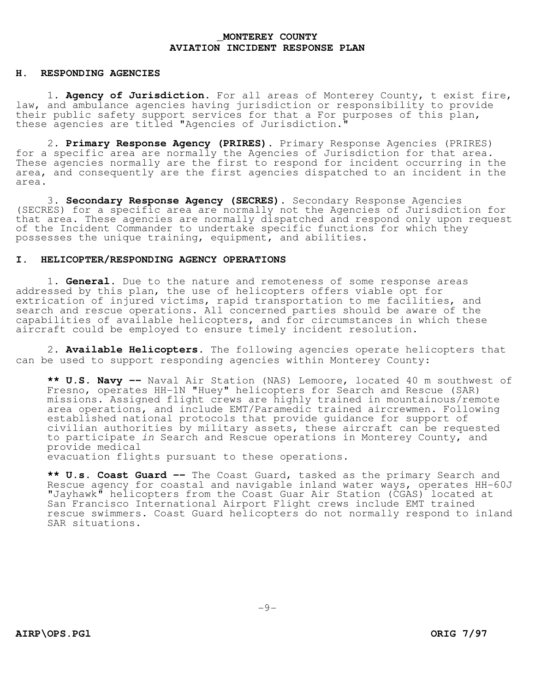#### **H. RESPONDING AGENCIES**

1. **Agency of Jurisdiction.** For all areas of Monterey County, t exist fire, law, and ambulance agencies having jurisdiction or responsibility to provide their public safety support services for that a For purposes of this plan, these agencies are titled "Agencies of Jurisdiction."

2. **Primary Response Agency (PRIRES).** Primary Response Agencies (PRIRES) for a specific area are normally the Agencies of Jurisdiction for that area. These agencies normally are the first to respond for incident occurring in the area, and consequently are the first agencies dispatched to an incident in the area.

3. **Secondary Response Agency (SECRES).** Secondary Response Agencies (SECRES) for a specific area are normally not the Agencies of Jurisdiction for that area. These agencies are normally dispatched and respond only upon request of the Incident Commander to undertake specific functions for which they possesses the unique training, equipment, and abilities.

### **I. HELICOPTER/RESPONDING AGENCY OPERATIONS**

1. **General.** Due to the nature and remoteness of some response areas addressed by this plan, the use of helicopters offers viable opt for extrication of injured victims, rapid transportation to me facilities, and search and rescue operations. All concerned parties should be aware of the capabilities of available helicopters, and for circumstances in which these aircraft could be employed to ensure timely incident resolution.

2. **Available Helicopters.** The following agencies operate helicopters that can be used to support responding agencies within Monterey County:

**\*\* U.S. Navy --** Naval Air Station (NAS) Lemoore, located 40 m southwest of Fresno, operates HH-1N "Huey" helicopters for Search and Rescue (SAR) missions. Assigned flight crews are highly trained in mountainous/remote area operations, and include EMT/Paramedic trained aircrewmen. Following established national protocols that provide guidance for support of civilian authorities by military assets, these aircraft can be requested to participate in Search and Rescue operations in Monterey County, and provide medical

evacuation flights pursuant to these operations.

**\*\* U.s. Coast Guard --** The Coast Guard, tasked as the primary Search and Rescue agency for coastal and navigable inland water ways, operates HH-60J "Jayhawk" helicopters from the Coast Guar Air Station (CGAS) located at San Francisco International Airport Flight crews include EMT trained rescue swimmers. Coast Guard helicopters do not normally respond to inland SAR situations.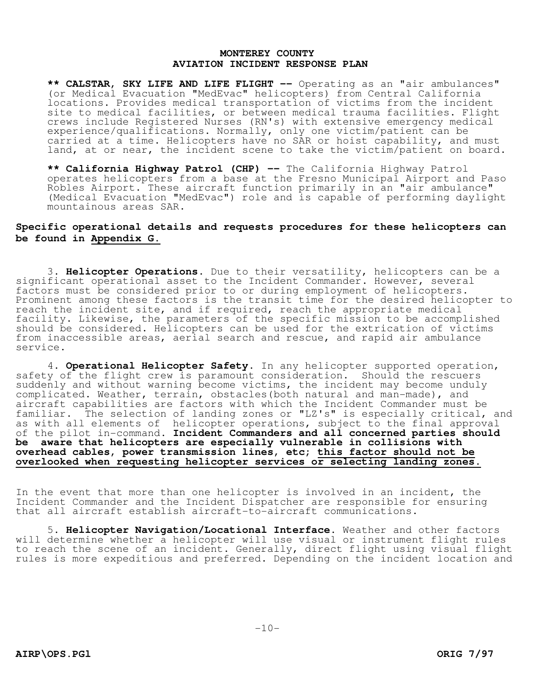**\*\* CALSTAR, SKY LIFE AND LIFE FLIGHT --** Operating as an "air ambulances" (or Medical Evacuation "MedEvac" helicopters) from Central California locations. Provides medical transportation of victims from the incident site to medical facilities, or between medical trauma facilities. Flight crews include Registered Nurses (RN's) with extensive emergency medical experience/qualifications. Normally, only one victim/patient can be carried at a time. Helicopters have no SAR or hoist capability, and must land, at or near, the incident scene to take the victim/patient on board.

**\*\* California Highway Patrol (CHP) --** The California Highway Patrol operates helicopters from a base at the Fresno Municipal Airport and Paso Robles Airport. These aircraft function primarily in an "air ambulance" (Medical Evacuation "MedEvac") role and is capable of performing daylight mountainous areas SAR.

## **Specific operational details and requests procedures for these helicopters can be found in Appendix G.**

3. **Helicopter Operations.** Due to their versatility, helicopters can be a significant operational asset to the Incident Commander. However, several factors must be considered prior to or during employment of helicopters. Prominent among these factors is the transit time for the desired helicopter to reach the incident site, and if required, reach the appropriate medical facility. Likewise, the parameters of the specific mission to be accomplished should be considered. Helicopters can be used for the extrication of victims from inaccessible areas, aerial search and rescue, and rapid air ambulance service.

4. **Operational Helicopter Safety**. In any helicopter supported operation, safety of the flight crew is paramount consideration. Should the rescuers suddenly and without warning become victims, the incident may become unduly complicated. Weather, terrain, obstacles(both natural and man-made), and aircraft capabilities are factors with which the Incident Commander must be familiar. The selection of landing zones or "LZ's" is especially critical, and as with all elements of helicopter operations, subject to the final approval of the pilot in-command. **Incident Commanders and all concerned parties should be aware that helicopters are especially vulnerable in collisions with overhead cables, power transmission lines, etc; this factor should not be overlooked when requesting helicopter services or selecting landing zones.** 

In the event that more than one helicopter is involved in an incident, the Incident Commander and the Incident Dispatcher are responsible for ensuring that all aircraft establish aircraft-to-aircraft communications.

5. **Helicopter Navigation/Locational Interface.** Weather and other factors will determine whether a helicopter will use visual or instrument flight rules to reach the scene of an incident. Generally, direct flight using visual flight rules is more expeditious and preferred. Depending on the incident location and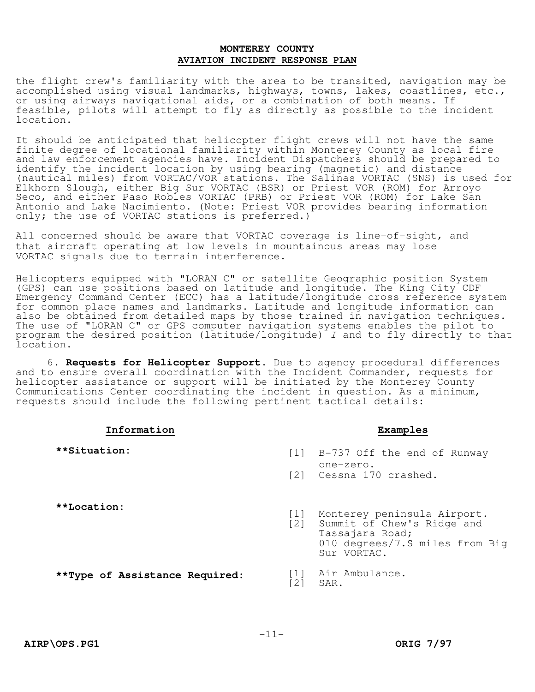the flight crew's familiarity with the area to be transited, navigation may be accomplished using visual landmarks, highways, towns, lakes, coastlines, etc., or using airways navigational aids, or a combination of both means. If feasible, pilots will attempt to fly as directly as possible to the incident location.

It should be anticipated that helicopter flight crews will not have the same finite degree of locational familiarity within Monterey County as local fire and law enforcement agencies have. Incident Dispatchers should be prepared to identify the incident location by using bearing (magnetic) and distance (nautical miles) from VORTAC/VOR stations. The Salinas VORTAC (SNS) is used for Elkhorn Slough, either Big Sur VORTAC (BSR) or Priest VOR (ROM) for Arroyo Seco, and either Paso Robles VORTAC (PRB) or Priest VOR (ROM) for Lake San Antonio and Lake Nacimiento. (Note: Priest VOR provides bearing information only; the use of VORTAC stations is preferred.)<sup>-</sup>

All concerned should be aware that VORTAC coverage is line-of-sight, and that aircraft operating at low levels in mountainous areas may lose VORTAC signals due to terrain interference.

Helicopters equipped with "LORAN C" or satellite Geographic position System (GPS) can use positions based on latitude and longitude. The King City CDF Emergency Command Center (ECC) has a latitude/longitude cross reference system for common place names and landmarks. Latitude and longitude information can also be obtained from detailed maps by those trained in navigation techniques. The use of "LORAN C" or GPS computer navigation systems enables the pilot to program the desired position (latitude/longitude)  $I$  and to fly directly to that location.

6. **Requests for Helicopter Support.** Due to agency procedural differences and to ensure overall coordination with the Incident Commander, requests for helicopter assistance or support will be initiated by the Monterey County Communications Center coordinating the incident in question. As a minimum, requests should include the following pertinent tactical details:

| Information                    |                   | Examples                                                                                                                              |
|--------------------------------|-------------------|---------------------------------------------------------------------------------------------------------------------------------------|
| **Situation:                   |                   | [1] B-737 Off the end of Runway<br>one-zero.<br>[2] Cessna 170 crashed.                                                               |
| **Location:                    |                   | [1] Monterey peninsula Airport.<br>[2] Summit of Chew's Ridge and<br>Tassajara Road;<br>010 degrees/7.S miles from Big<br>Sur VORTAC. |
| **Type of Assistance Required: | $\lceil 2 \rceil$ | [1] Air Ambulance.<br>SAR.                                                                                                            |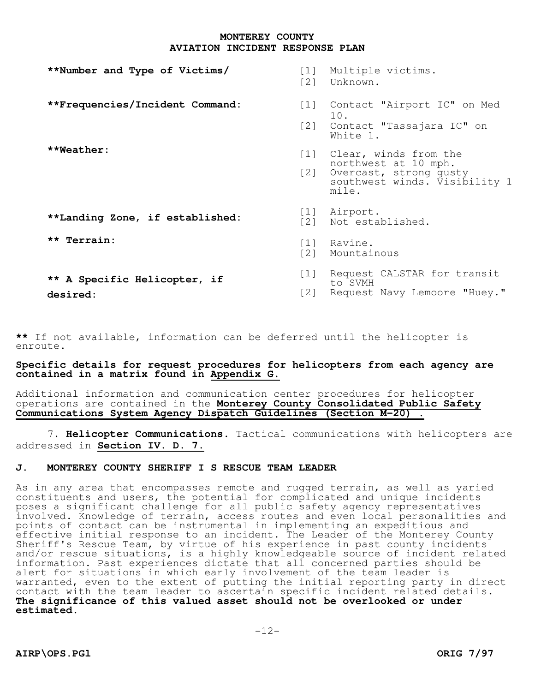| **Number and Type of Victims/            | [1]<br>$\lceil 2 \rceil$                              | Multiple victims.<br>Unknown.                                                                                         |
|------------------------------------------|-------------------------------------------------------|-----------------------------------------------------------------------------------------------------------------------|
| **Frequencies/Incident Command:          | $\begin{bmatrix} 1 \end{bmatrix}$<br>$\left[2\right]$ | Contact "Airport IC" on Med<br>10.<br>Contact "Tassajara IC" on<br>White 1.                                           |
| $*$ $*$ Weather:                         | [2]                                                   | [1] Clear, winds from the<br>northwest at 10 mph.<br>Overcast, strong qusty<br>southwest winds. Visibility 1<br>mile. |
| **Landing Zone, if established:          | 1 <br>$\lceil 2 \rceil$                               | Airport.<br>Not established.                                                                                          |
| ** Terrain:                              | $\lceil 1 \rceil$<br>$\lceil 2 \rceil$                | Ravine.<br>Mountainous                                                                                                |
| ** A Specific Helicopter, if<br>desired: | [1]<br>[2]                                            | Request CALSTAR for transit<br>to SVMH<br>Request Navy Lemoore "Huey."                                                |

**\*\*** If not available, information can be deferred until the helicopter is enroute.

## **Specific details for request procedures for helicopters from each agency are contained in a matrix found in Appendix G.**

Additional information and communication center procedures for helicopter operations are contained in the **Monterey County Consolidated Public Safety Communications System Agency Dispatch Guidelines (Section M-20) .** 

7. **Helicopter Communications.** Tactical communications with helicopters are addressed in **Section IV. D. 7**.

## **J. MONTEREY COUNTY SHERIFF I S RESCUE TEAM LEADER**

As in any area that encompasses remote and rugged terrain, as well as yaried constituents and users, the potential for complicated and unique incidents poses a significant challenge for all public safety agency representatives involved. Knowledge of terrain, access routes and even local personalities and points of contact can be instrumental in implementing an expeditious and effective initial response to an incident. The Leader of the Monterey County Sheriff's Rescue Team, by virtue of his experience in past county incidents and/or rescue situations, is a highly knowledgeable source of incident related information. Past experiences dictate that all concerned parties should be alert for situations in which early involvement of the team leader is warranted, even to the extent of putting the initial reporting party in direct contact with the team leader to ascertain specific incident related details. **The significance of this valued asset should not be overlooked or under estimated.**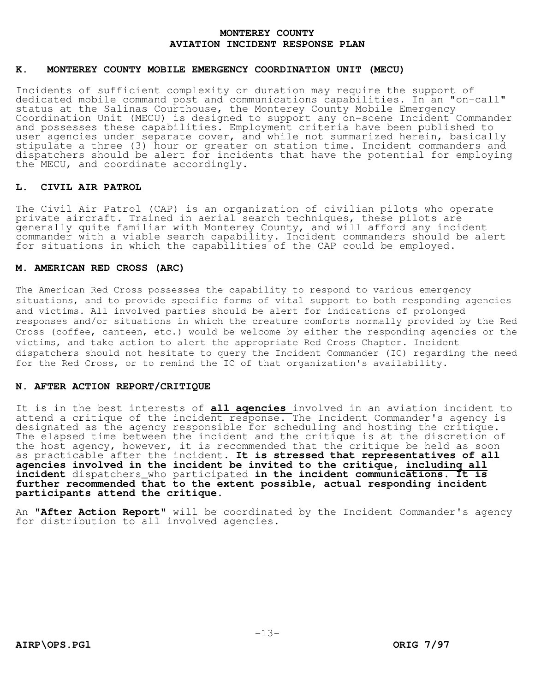### **K. MONTEREY COUNTY MOBILE EMERGENCY COORDINATION UNIT (MECU)**

Incidents of sufficient complexity or duration may require the support of dedicated mobile command post and communications capabilities. In an "on-call" status at the Salinas Courthouse, the Monterey County Mobile Emergency Coordination Unit (MECU) is designed to support any on-scene Incident Commander and possesses these capabilities. Employment criteria have been published to user agencies under separate cover, and while not summarized herein, basically stipulate a three (3) hour or greater on station time. Incident commanders and dispatchers should be alert for incidents that have the potential for employing the MECU, and coordinate accordingly.

## **L. CIVIL AIR PATROL**

The Civil Air Patrol (CAP) is an organization of civilian pilots who operate private aircraft. Trained in aerial search techniques, these pilots are generally quite familiar with Monterey County, and will afford any incident commander with a viable search capability. Incident commanders should be alert for situations in which the capabilities of the CAP could be employed.

## **M. AMERICAN RED CROSS (ARC)**

The American Red Cross possesses the capability to respond to various emergency situations, and to provide specific forms of vital support to both responding agencies and victims. All involved parties should be alert for indications of prolonged responses and/or situations in which the creature comforts normally provided by the Red Cross (coffee, canteen, etc.) would be welcome by either the responding agencies or the victims, and take action to alert the appropriate Red Cross Chapter. Incident dispatchers should not hesitate to query the Incident Commander (IC) regarding the need for the Red Cross, or to remind the IC of that organization's availability.

## **N. AFTER ACTION REPORT/CRITIQUE**

It is in the best interests of **all aqencies** involved in an aviation incident to attend a critique of the incident response. The Incident Commander's agency is designated as the agency responsible for scheduling and hosting the critique. The elapsed time between the incident and the critique is at the discretion of the host agency, however, it is recommended that the critique be held as soon as practicable after the incident. **It is stressed that representatives of all agencies involved in the incident be invited to the critique, includinq all incident** dispatchers\_who participated **in the incident communications. It is further recommended that to the extent possible, actual responding incident participants attend the critique.** 

An **"After Action Report"** will be coordinated by the Incident Commander's agency for distribution to all involved agencies.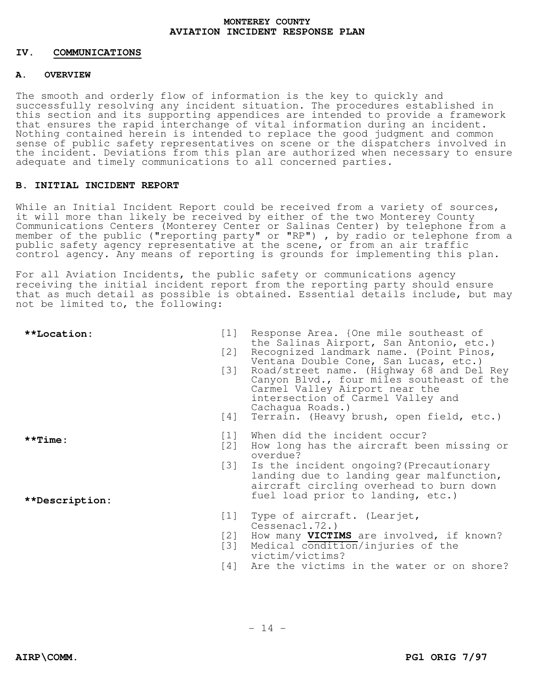## **IV. COMMUNICATIONS**

## **A. OVERVIEW**

The smooth and orderly flow of information is the key to quickly and successfully resolving any incident situation. The procedures established in this section and its supporting appendices are intended to provide a framework that ensures the rapid interchange of vital information during an incident. Nothing contained herein is intended to replace the good judgment and common sense of public safety representatives on scene or the dispatchers involved in the incident. Deviations from this plan are authorized when necessary to ensure adequate and timely communications to all concerned parties.

## **B. INITIAL INCIDENT REPORT**

While an Initial Incident Report could be received from a variety of sources, it will more than likely be received by either of the two Monterey County Communications Centers (Monterey Center or Salinas Center) by telephone from a member of the public ("reporting party" or "RP") , by radio or telephone from a public safety agency representative at the scene, or from an air traffic control agency. Any means of reporting is grounds for implementing this plan.

For all Aviation Incidents, the public safety or communications agency receiving the initial incident report from the reporting party should ensure that as much detail as possible is obtained. Essential details include, but may not be limited to, the following:

| **Location:    | $\left[1\right]$<br>[2]<br>$\left[3\right]$<br>[4] | Response Area. {One mile southeast of<br>the Salinas Airport, San Antonio, etc.)<br>Recognized landmark name. (Point Pinos,<br>Ventana Double Cone, San Lucas, etc.)<br>Road/street name. (Highway 68 and Del Rey<br>Canyon Blvd., four miles southeast of the<br>Carmel Valley Airport near the<br>intersection of Carmel Valley and<br>Cachaqua Roads.)<br>Terrain. (Heavy brush, open field, etc.) |
|----------------|----------------------------------------------------|-------------------------------------------------------------------------------------------------------------------------------------------------------------------------------------------------------------------------------------------------------------------------------------------------------------------------------------------------------------------------------------------------------|
|                |                                                    |                                                                                                                                                                                                                                                                                                                                                                                                       |
| $*$ *Time:     | $\left[1\right]$<br>[2]                            | When did the incident occur?<br>How long has the aircraft been missing or<br>overdue?                                                                                                                                                                                                                                                                                                                 |
|                | [3]                                                | Is the incident ongoing? (Precautionary<br>landing due to landing gear malfunction,<br>aircraft circling overhead to burn down                                                                                                                                                                                                                                                                        |
| **Description: |                                                    | fuel load prior to landing, etc.)                                                                                                                                                                                                                                                                                                                                                                     |
|                | [1]                                                | Type of aircraft. (Learjet,<br>Cessenac1.72.                                                                                                                                                                                                                                                                                                                                                          |
|                | [2]<br>[3]                                         | How many VICTIMS are involved, if known?<br>Medical condition/injuries of the<br>victim/victims?                                                                                                                                                                                                                                                                                                      |

[4] Are the victims in the water or on shore?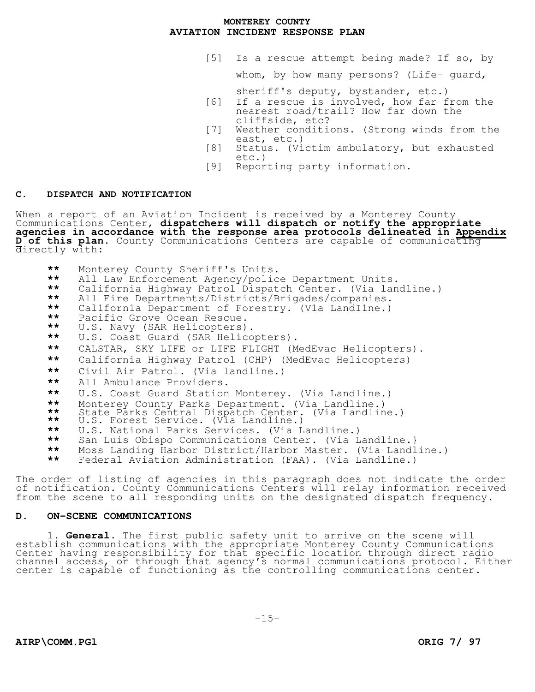[5] Is a rescue attempt being made? If so, by

whom, by how many persons? (Life- guard,

sheriff's deputy, bystander, etc.)

- [6] If a rescue is involved, how far from the nearest road/trail? How far down the cliffside, etc?
- [7] Weather conditions. (Strong winds from the east, etc.)
- [8] Status. (Victim ambulatory, but exhausted etc.)
- [9] Reporting party information.

## **C. DISPATCH AND NOTIFICATION**

When a report of an Aviation Incident is received by a Monterey County Communications Center, **dispatchers will dispatch or notify the appropriate agencies in accordance with the response area protocols delineated in Appendix D of this plan.** County Communications Centers are capable of communicating directly with:

- **\*\*** Monterey County Sheriff's Units.
- **\*\*** All Law Enforcement Agency/police Department Units.
- **\*\*** California Highway Patrol Dispatch Center. (Via landline.)
- **\*\*** All Fire Departments/Districts/Brigades/companies.
- **\*\*** Cal1forn1a Department of Forestry. (V1a LandI1ne.)
- **\*\*** Pacific Grove Ocean Rescue.
- **\*\*** U.S. Navy (SAR Helicopters).
- U.S. Coast Guard (SAR Helicopters).
- **\*\*** CALSTAR, SKY LIFE or LIFE FLIGHT (MedEvac Helicopters).
- **\*\*** California Highway Patrol (CHP) (MedEvac Helicopters)
- **\*\*** Civil Air Patrol. (Via landline.)
- **\*\*** All Ambulance Providers.
- **\*\*** U.S. Coast Guard Station Monterey. (Via Landline.)
- **\*\*** Monterey County Parks Department. (Via Landline.)
- **\*\*** State Parks Central Dispatch Center. (Via Landline.)
- **\*\*** U.S. Forest Service. (Via Landline.)
- **\*\*** U.S. National Parks Services. (Via Landline.)
- **\*\*** San Luis Obispo Communications Center. (Via Landline.}
- Moss Landing Harbor District/Harbor Master. (Via Landline.)
- **\*\*** Federal Aviation Administration (FAA). (Via Landline.)

The order of listing of agencies in this paragraph does not indicate the order of notification. County Communications Centers will relay information received from the scene to all responding units on the designated dispatch frequency.

## **D. ON-SCENE COMMUNICATIONS**

1. **General.** The first public safety unit to arrive on the scene will establish communications with the appropriate Monterey County Communications Center having responsibility for that specific location through direct radio channel access, or through that agency's normal communications protocol. Either center is capable of functioning as the controlling communications center.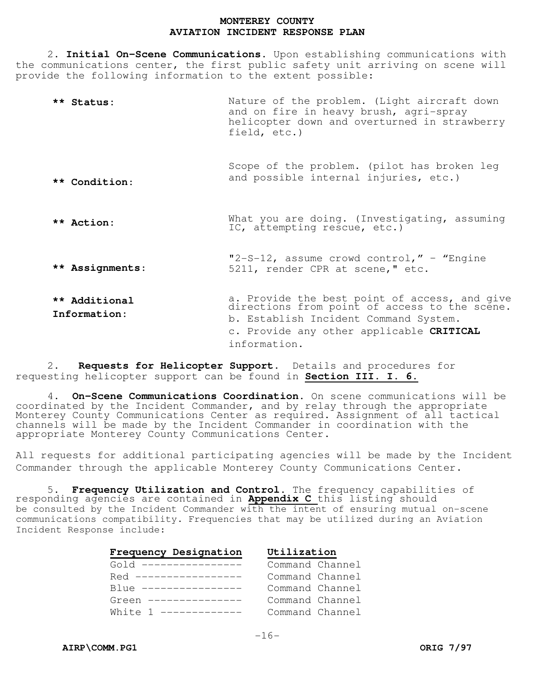2. **Initial On-Scene Communications.** Upon establishing communications with the communications center, the first public safety unit arriving on scene will provide the following information to the extent possible:

- **\*\* Status: \*\* Condition**: **\*\* Action: \*\* Assignments**: **\*\* Additional Information:**  Nature of the problem. (Light aircraft down and on fire in heavy brush, agri-spray helicopter down and overturned in strawberry field, etc.) Scope of the problem. (pilot has broken leg and possible internal injuries, etc.) What you are doing. (Investigating, assuming IC, attempting rescue, etc.) "2-S-12, assume crowd control," – "Engine 5211, render CPR at scene," etc. a. Provide the best point of access, and give directions from point of access to the scene. b. Establish Incident Command System. c. Provide any other applicable **CRITICAL**
- 2. **Requests for Helicopter Support.** Details and procedures for requesting helicopter support can be found in **Section III. I. 6.**

4. **On-Scene Communications Coordination.** On scene communications will be coordinated by the Incident Commander, and by relay through the appropriate Monterey County Communications Center as required. Assignment of all tactical channels will be made by the Incident Commander in coordination with the appropriate Monterey County Communications Center.

information.

All requests for additional participating agencies will be made by the Incident Commander through the applicable Monterey County Communications Center.

5. **Frequency Utilization and Control.** The frequency capabilities of responding agencies are contained in **Appendix C** this listing should be consulted by the Incident Commander with the intent of ensuring mutual on-scene communications compatibility. Frequencies that may be utilized during an Aviation Incident Response include:

| Frequency Designation       | Utilization     |
|-----------------------------|-----------------|
| $G \cap d$ ---------------- | Command Channel |
| Red -----------------       | Command Channel |
| $R111e$ ----------------    | Command Channel |
| Green ---------------       | Command Channel |
| White $1$ ------------      | Command Channel |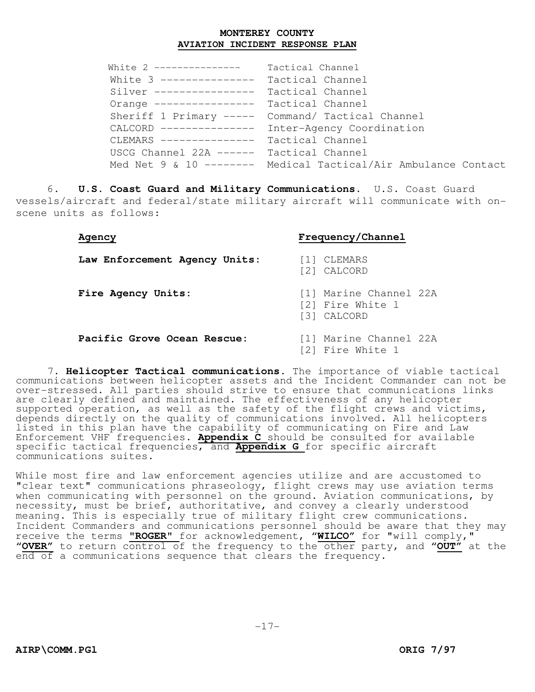| White 2 ---------------                  | Tactical Channel                                               |
|------------------------------------------|----------------------------------------------------------------|
| White 3 --------------- Tactical Channel |                                                                |
| Silver ---------------- Tactical Channel |                                                                |
| Orange ---------------- Tactical Channel |                                                                |
|                                          | Sheriff 1 Primary ----- Command/ Tactical Channel              |
|                                          | CALCORD --------------- Inter-Agency Coordination              |
| CLEMARS --------------- Tactical Channel |                                                                |
| USCG Channel 22A ------ Tactical Channel |                                                                |
|                                          | Med Net 9 & 10 -------- Medical Tactical/Air Ambulance Contact |

 6. **U.S. Coast Guard and Military Communications.** U.S. Coast Guard vessels/aircraft and federal/state military aircraft will communicate with onscene units as follows:

## **Agency Frequency/Channel**

**Law Enforcement Agency Units:** [1] CLEMARS

- **Fire Agency Units:** [1] Marine Channel 22A
	- [2] Fire White l
	- [3] CALCORD

[2] CALCORD

## **Pacific Grove Ocean Rescue:** [1] Marine Channel 22A

- - [2] Fire White 1

7. **Helicopter Tactical communications.** The importance of viable tactical communications between helicopter assets and the Incident Commander can not be over-stressed. All parties should strive to ensure that communications links are clearly defined and maintained. The effectiveness of any helicopter supported operation, as well as the safety of the flight crews and victims, depends directly on the quality of communications involved. All helicopters listed in this plan have the capability of communicating on Fire and Law Enforcement VHF frequencies. **Appendix C** should be consulted for available specific tactical frequencies, and **Appendix G** for specific aircraft communications suites.

While most fire and law enforcement agencies utilize and are accustomed to "clear text" communications phraseology, flight crews may use aviation terms when communicating with personnel on the ground. Aviation communications, by necessity, must be brief, authoritative, and convey a clearly understood meaning. This is especially true of military flight crew communications. Incident Commanders and communications personnel should be aware that they may receive the terms **"ROGER"** for acknowledgement, "**WILCO"** for "will comply," "**OVER"** to return control of the frequency to the other party, and "**OUT"** at the end of a communications sequence that clears the frequency.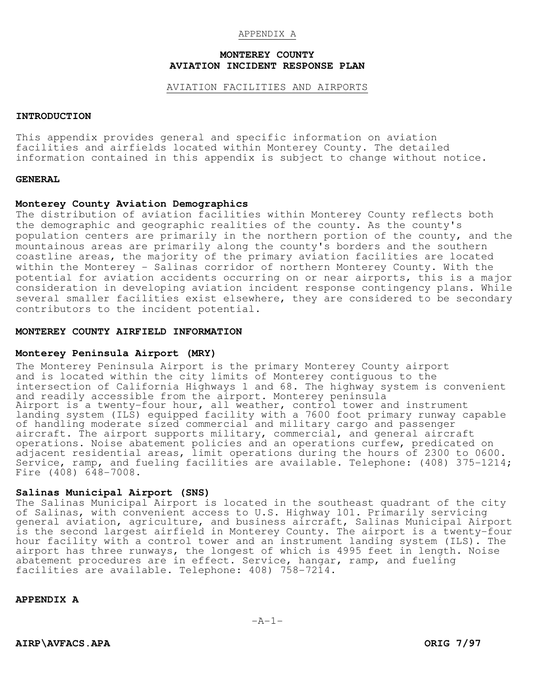## APPENDIX A

## **MONTEREY COUNTY AVIATION INCIDENT RESPONSE PLAN**

#### AVIATION FACILITIES AND AIRPORTS

## **INTRODUCTION**

This appendix provides general and specific information on aviation facilities and airfields located within Monterey County. The detailed information contained in this appendix is subject to change without notice.

#### **GENERAL**

## **Monterey County Aviation Demographics**

The distribution of aviation facilities within Monterey County reflects both the demographic and geographic realities of the county. As the county's population centers are primarily in the northern portion of the county, and the mountainous areas are primarily along the county's borders and the southern coastline areas, the majority of the primary aviation facilities are located within the Monterey - Salinas corridor of northern Monterey County. With the potential for aviation accidents occurring on or near airports, this is a major consideration in developing aviation incident response contingency plans. While several smaller facilities exist elsewhere, they are considered to be secondary contributors to the incident potential.

## **MONTEREY COUNTY AIRFIELD INFORMATION**

#### **Monterey Peninsula Airport (MRY)**

The Monterey Peninsula Airport is the primary Monterey County airport and is located within the city limits of Monterey contiguous to the intersection of California Highways 1 and 68. The highway system is convenient and readily accessible from the airport. Monterey peninsula Airport is a twenty-four hour, all weather, control tower and instrument landing system (ILS) equipped facility with a 7600 foot primary runway capable of handling moderate sized commercial and military cargo and passenger aircraft. The airport supports military, commercial, and general aircraft operations. Noise abatement policies and an operations curfew, predicated on adjacent residential areas, limit operations during the hours of 2300 to 0600. Service, ramp, and fueling facilities are available. Telephone: (408) 375-1214; Fire (408) 648-7008.

#### **Salinas Municipal Airport (SNS)**

The Salinas Municipal Airport is located in the southeast quadrant of the city of Salinas, with convenient access to U.S. Highway 101. Primarily servicing general aviation, agriculture, and business aircraft, Salinas Municipal Airport is the second largest airfield in Monterey County. The airport is a twenty-four hour facility with a control tower and an instrument landing system (ILS). The airport has three runways, the longest of which is 4995 feet in length. Noise abatement procedures are in effect. Service, hangar, ramp, and fueling facilities are available. Telephone: 408) 758-7214.

**APPENDIX A**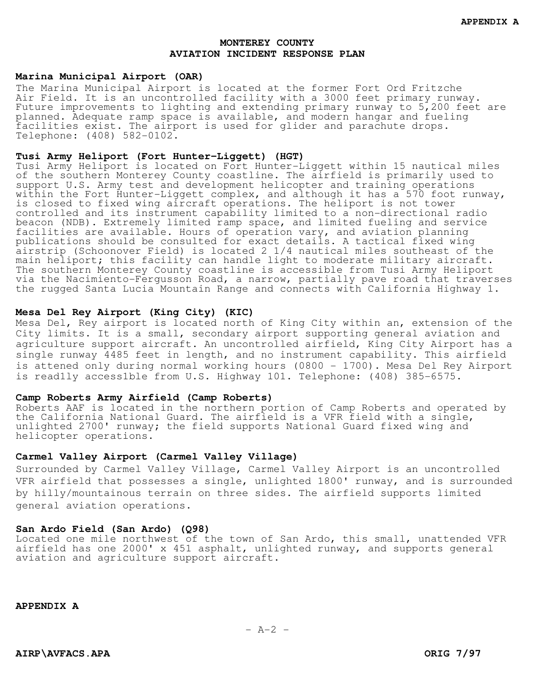#### **Marina Municipal Airport (OAR)**

The Marina Municipal Airport is located at the former Fort Ord Fritzche Air Field. It is an uncontrolled facility with a 3000 feet primary runway. Future improvements to lighting and extending primary runway to 5,200 feet are planned. Adequate ramp space is available, and modern hangar and fueling facilities exist. The airport is used for glider and parachute drops. Telephone: (408) 582-0102.

## **Tusi Army Heliport (Fort Hunter-Liggett) (HGT)**

Tusi Army Heliport is located on Fort Hunter-Liggett within 15 nautical miles of the southern Monterey County coastline. The airfield is primarily used to support U.S. Army test and development helicopter and training operations within the Fort Hunter-Liggett complex, and although it has a 570 foot runway, is closed to fixed wing aircraft operations. The heliport is not tower controlled and its instrument capability limited to a non-directional radio beacon (NDB). Extremely limited ramp space, and limited fueling and service facilities are available. Hours of operation vary, and aviation planning publications should be consulted for exact details. A tactical fixed wing airstrip (Schoonover Field) is located 2 1/4 nautical miles southeast of the main heliport; this facility can handle light to moderate military aircraft. The southern Monterey County coastline is accessible from Tusi Army Heliport via the Nacimiento-Fergusson Road, a narrow, partially pave road that traverses the rugged Santa Lucia Mountain Range and connects with California Highway 1.

## **Mesa Del Rey Airport (King City) (KIC)**

Mesa Del, Rey airport is located north of King City within an, extension of the City limits. It is a small, secondary airport supporting general aviation and agriculture support aircraft. An uncontrolled airfield, King City Airport has a single runway 4485 feet in length, and no instrument capability. This airfield is attened only during normal working hours (0800 - 1700). Mesa Del Rey Airport is read1ly access1ble from U.S. Highway 101. Telephone: (408) 385-6575.

#### **Camp Roberts Army Airfield (Camp Roberts)**

Roberts AAF is located in the northern portion of Camp Roberts and operated by the California National Guard. The airfield is a VFR field with a single, unlighted 2700' runway; the field supports National Guard fixed wing and helicopter operations.

## **Carmel Valley Airport (Carmel Valley Village)**

Surrounded by Carmel Valley Village, Carmel Valley Airport is an uncontrolled VFR airfield that possesses a single, unlighted 1800' runway, and is surrounded by hilly/mountainous terrain on three sides. The airfield supports limited general aviation operations.

## **San Ardo Field (San Ardo) (Q98)**

Located one mile northwest of the town of San Ardo, this small, unattended VFR airfield has one 2000' x 451 asphalt, unlighted runway, and supports general aviation and agriculture support aircraft.

**APPENDIX A**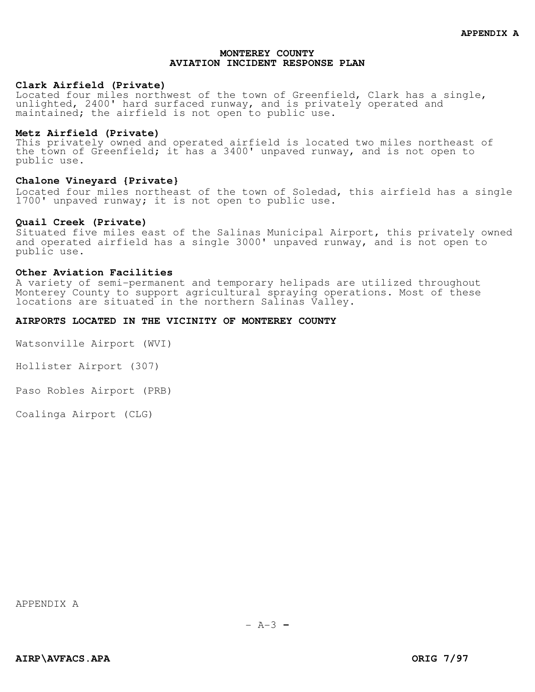## **Clark Airfield (Private)**

Located four miles northwest of the town of Greenfield, Clark has a single, unlighted, 2400' hard surfaced runway, and is privately operated and maintained; the airfield is not open to public use.

## **Metz Airfield (Private)**

This privately owned and operated airfield is located two miles northeast of the town of Greenfield; it has a 3400' unpaved runway, and is not open to public use.

#### **Chalone Vineyard {Private}**

Located four miles northeast of the town of Soledad, this airfield has a single 1700' unpaved runway; it is not open to public use.

## **Quail Creek (Private)**

Situated five miles east of the Salinas Municipal Airport, this privately owned and operated airfield has a single 3000' unpaved runway, and is not open to public use.

#### **Other Aviation Facilities**

A variety of semi-permanent and temporary helipads are utilized throughout Monterey County to support agricultural spraying operations. Most of these locations are situated in the northern Salinas Valley.

#### **AIRPORTS LOCATED IN THE VICINITY OF MONTEREY COUNTY**

Watsonville Airport (WVI)

Hollister Airport (307)

Paso Robles Airport (PRB)

Coalinga Airport (CLG)

APPENDIX A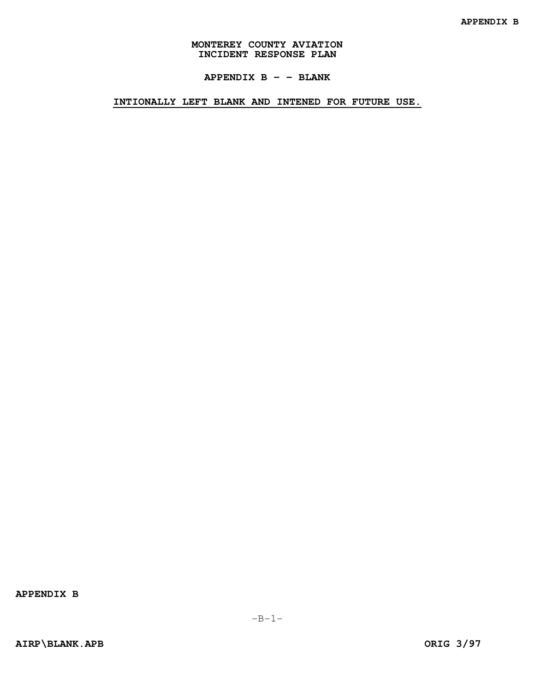**APPENDIX B - - BLANK** 

**INTIONALLY LEFT BLANK AND INTENED FOR FUTURE USE.**

**APPENDIX B**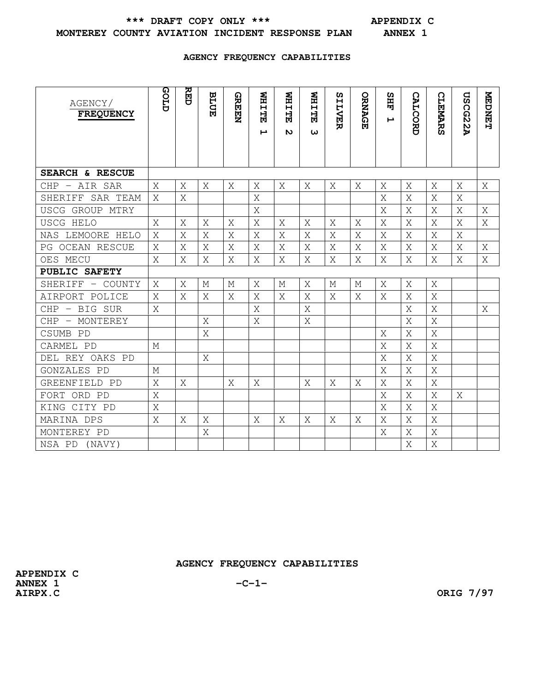\*\*\* DRAFT COPY ONLY \*\*\* **APPENDIX C** 

# **MONTEREY COUNTY AVIATION INCIDENT RESPONSE PLAN ANNEX 1**

## **AGENCY FREQUENCY CAPABILITIES**

| AGENCY/<br><b>FREQUENCY</b> | GLID | 요되 | <b>BLUE</b> | <b>GREEN</b> | <b>NHITE</b><br>F | <b>NHITE</b><br><b>N</b> | <b>NHITER</b><br>ω | ທ<br><b>ILVER</b> | ORNAGE | ທ<br>畐<br>$\blacktriangleright$ | <b>CALCORD</b> | <b>CLEMARS</b> | <b>USCG22A</b> | <b>NEDNET</b> |
|-----------------------------|------|----|-------------|--------------|-------------------|--------------------------|--------------------|-------------------|--------|---------------------------------|----------------|----------------|----------------|---------------|
| SEARCH & RESCUE             |      |    |             |              |                   |                          |                    |                   |        |                                 |                |                |                |               |
| CHP - AIR SAR               | X    | X  | X           | X            | X                 | X                        | X                  | X                 | X      | X                               | X              | X              | X              | X             |
| SHERIFF SAR TEAM            | X    | Χ  |             |              | X                 |                          |                    |                   |        | Χ                               | Χ              | Χ              | X              |               |
| USCG GROUP MTRY             |      |    |             |              | X                 |                          |                    |                   |        | X                               | X              | X              | X              | X             |
| USCG HELO                   | Χ    | Χ  | Χ           | Χ            | X                 | Χ                        | Χ                  | Χ                 | Χ      | Χ                               | Χ              | Χ              | X              | Χ             |
| NAS LEMOORE HELO            | X    | X  | X           | X            | X                 | X                        | X                  | X                 | X      | X                               | X              | X              | X              |               |
| PG OCEAN RESCUE             | Χ    | X  | Χ           | Χ            | Χ                 | Χ                        | Χ                  | Χ                 | Χ      | Χ                               | Χ              | Χ              | X              | Χ             |
| OES MECU                    | Χ    | X  | Χ           | Χ            | X                 | Χ                        | X                  | Χ                 | Χ      | Χ                               | X              | Χ              | X              | Χ             |
| PUBLIC SAFETY               |      |    |             |              |                   |                          |                    |                   |        |                                 |                |                |                |               |
| SHERIFF - COUNTY            | X    | X  | М           | М            | X                 | М                        | X                  | М                 | М      | X                               | X              | X              |                |               |
| AIRPORT POLICE              | X    | X  | X           | Χ            | Χ                 | Χ                        | Χ                  | Χ                 | X      | Χ                               | Χ              | Χ              |                |               |
| $CHP - BIG$ SUR             | X    |    |             |              | X                 |                          | X                  |                   |        |                                 | X              | X              |                | X             |
| CHP - MONTEREY              |      |    | X           |              | X                 |                          | X                  |                   |        |                                 | Χ              | X              |                |               |
| CSUMB PD                    |      |    | X           |              |                   |                          |                    |                   |        | X                               | X              | X              |                |               |
| CARMEL PD                   | М    |    |             |              |                   |                          |                    |                   |        | X                               | Χ              | Χ              |                |               |
| DEL REY OAKS PD             |      |    | Χ           |              |                   |                          |                    |                   |        | Χ                               | X              | X              |                |               |
| GONZALES PD                 | М    |    |             |              |                   |                          |                    |                   |        | X                               | Χ              | X              |                |               |
| GREENFIELD PD               | Χ    | X  |             | X            | X                 |                          | X                  | X                 | X      | X                               | X              | X              |                |               |
| FORT ORD PD                 | X    |    |             |              |                   |                          |                    |                   |        | X                               | X              | X              | X              |               |
| KING CITY PD                | X    |    |             |              |                   |                          |                    |                   |        | Χ                               | Χ              | X              |                |               |
| MARINA DPS                  | X    | X  | X           |              | X                 | X                        | X                  | X                 | X      | X                               | X              | X              |                |               |
| MONTEREY PD                 |      |    | Χ           |              |                   |                          |                    |                   |        | X                               | Χ              | X              |                |               |
| NSA PD (NAVY)               |      |    |             |              |                   |                          |                    |                   |        |                                 | Χ              | X              |                |               |

**AGENCY FREQUENCY CAPABILITIES** 

**AIRPX.C ORIG 7/97**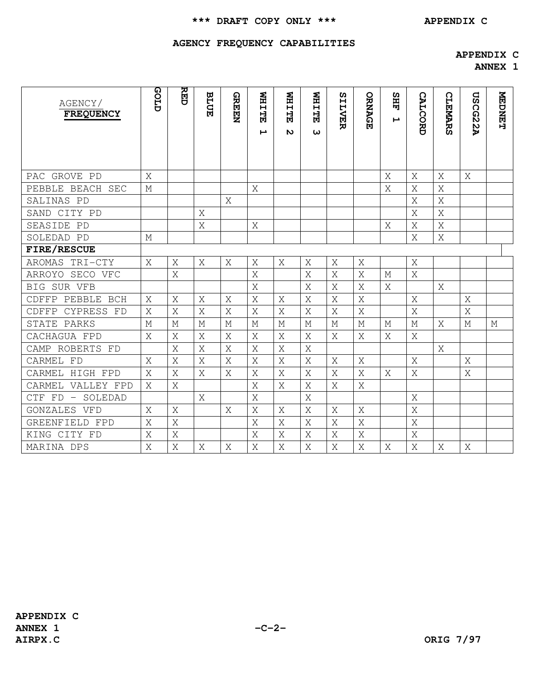# **\*\*\* DRAFT COPY ONLY \*\*\* APPENDIX C**

# **AGENCY FREQUENCY CAPABILITIES**

## **APPENDIX C**

**ANNEX 1** 

| AGENCY/<br><b>FREQUENCY</b> | GLID | RED            | <b>BLUE</b> | <b>GREEN</b> | <b>NHITER</b><br>Ŀ | <b>NHITE</b><br>N | <b>NHITE</b><br>ω | SILVER | ORNAGE      | <b>SHE</b><br>$\blacktriangleright$ | <b>CALCORD</b> | <b>CLEMARS</b> | <b>USCG22A</b> | <b>NEDNET</b> |
|-----------------------------|------|----------------|-------------|--------------|--------------------|-------------------|-------------------|--------|-------------|-------------------------------------|----------------|----------------|----------------|---------------|
|                             |      |                |             |              |                    |                   |                   |        |             |                                     |                |                |                |               |
| PAC GROVE PD                | X    |                |             |              |                    |                   |                   |        |             | X                                   | X              | Χ              | X              |               |
| PEBBLE BEACH SEC            | М    |                |             |              | X                  |                   |                   |        |             | X                                   | X              | X              |                |               |
| SALINAS PD                  |      |                |             | X            |                    |                   |                   |        |             |                                     | X              | X              |                |               |
| SAND CITY PD                |      |                | X           |              |                    |                   |                   |        |             |                                     | X              | Χ              |                |               |
| SEASIDE PD                  |      |                | Χ           |              | Χ                  |                   |                   |        |             | X                                   | X              | X              |                |               |
| SOLEDAD PD                  | М    |                |             |              |                    |                   |                   |        |             |                                     | X              | X              |                |               |
| FIRE/RESCUE                 |      |                |             |              |                    |                   |                   |        |             |                                     |                |                |                |               |
| AROMAS TRI-CTY              | X    | Χ              | X           | Χ            | Χ                  | Χ                 | Χ                 | Χ      | X           |                                     | X              |                |                |               |
| ARROYO SECO VFC             |      | X              |             |              | X                  |                   | X                 | X      | X           | $\mathbb M$                         | X              |                |                |               |
| BIG SUR VFB                 |      |                |             |              | X                  |                   | X                 | X      | X           | X                                   |                | X              |                |               |
| CDFFP PEBBLE BCH            | Χ    | X              | X           | X            | X                  | X                 | X                 | X      | X           |                                     | X              |                | X              |               |
| CYPRESS FD<br>CDFFP         | Χ    | X              | X           | X            | X                  | X                 | X                 | X      | X           |                                     | X              |                | Χ              |               |
| STATE PARKS                 | М    | М              | М           | $\mathbb M$  | М                  | M                 | M                 | M      | $\mathbb M$ | $\mathbf M$                         | $\mathbb M$    | X              | $\mathbb M$    | М             |
| CACHAGUA FPD                | X    | X              | X           | X            | X                  | X                 | X                 | Χ      | X           | X                                   | X              |                |                |               |
| CAMP ROBERTS FD             |      | X              | X           | X            | X                  | X                 | X                 |        |             |                                     |                | X              |                |               |
| CARMEL FD                   | X    | X              | X           | X            | X                  | X                 | X                 | X      | X           |                                     | X              |                | X              |               |
| CARMEL HIGH FPD             | X    | X              | X           | Χ            | X                  | X                 | X                 | X      | X           | X                                   | X              |                | X              |               |
| CARMEL VALLEY FPD           | Χ    | X              |             |              | X                  | X                 | X                 | X      | X           |                                     |                |                |                |               |
| CTF FD - SOLEDAD            |      |                | X           |              | X                  |                   | X                 |        |             |                                     | X              |                |                |               |
| GONZALES VFD                | Χ    | Χ              |             | X            | X                  | X                 | X                 | X      | X           |                                     | X              |                |                |               |
| GREENFIELD FPD              | X    | X              |             |              | X                  | X                 | X                 | X      | X           |                                     | X              |                |                |               |
| KING CITY FD                | X    | X              |             |              | X                  | X                 | X                 | X      | X           |                                     | X              |                |                |               |
| MARINA DPS                  | X    | $\overline{X}$ | X           | X            | X                  | X                 | X                 | X      | $\rm X$     | X                                   | X              | X              | X              |               |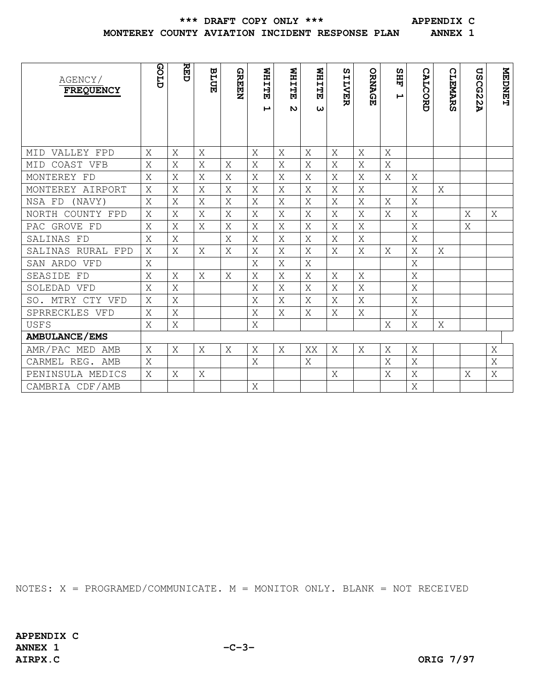**\*\*\* DRAFT COPY ONLY \*\*\* APPENDIX C** 

## **MONTEREY COUNTY AVIATION INCIDENT RESPONSE PLAN ANNEX 1**

| AGENCY/              | GOLD | <b>RED</b> | <b>BLUE</b> | <b>GREEN</b> | <b>NHITE</b> | <b>WHITE</b> | <b>NHITE</b> | ທ            | ORNAGE | <b>SHF</b> |                |                | $\mathbf{G}% _{t}\left( t\right)$ | <b>NEDNET</b> |
|----------------------|------|------------|-------------|--------------|--------------|--------------|--------------|--------------|--------|------------|----------------|----------------|-----------------------------------|---------------|
| <b>FREQUENCY</b>     |      |            |             |              | F            | $\mathbf{v}$ |              | <b>ILVER</b> |        | Ţ          | <b>CALCORD</b> | <b>CLEMARS</b> | <b>SCG22A</b>                     |               |
|                      |      |            |             |              |              |              | ω            |              |        |            |                |                |                                   |               |
|                      |      |            |             |              |              |              |              |              |        |            |                |                |                                   |               |
| MID VALLEY FPD       | Χ    | Χ          | Χ           |              | X            | X            | Χ            | Χ            | X      | X          |                |                |                                   |               |
| COAST VFB<br>MID     | Χ    | X          | Χ           | X            | X            | X            | X            | Χ            | X      | X          |                |                |                                   |               |
| MONTEREY FD          | Χ    | Χ          | Χ           | Χ            | X            | Χ            | X            | Χ            | Χ      | X          | X              |                |                                   |               |
| MONTEREY AIRPORT     | X    | Χ          | Χ           | Χ            | X            | X            | X            | X            | X      |            | X              | Χ              |                                   |               |
| NSA FD<br>(NAVY)     | X    | X          | X           | X            | X            | X            | X            | X            | X      | X          | X              |                |                                   |               |
| NORTH COUNTY FPD     | X    | X          | X           | Χ            | X            | X            | X            | Χ            | X      | X          | X              |                | Χ                                 | X             |
| PAC GROVE FD         | X    | X          | X           | X            | X            | X            | X            | X            | X      |            | X              |                | X                                 |               |
| SALINAS FD           | X    | Χ          |             | X            | X            | X            | X            | Χ            | X      |            | X              |                |                                   |               |
| SALINAS RURAL FPD    | X    | X          | X           | Χ            | X            | X            | Χ            | X            | X      | X          | X              | Χ              |                                   |               |
| SAN ARDO VFD         | X    |            |             |              | X            | X            | X            |              |        |            | X              |                |                                   |               |
| SEASIDE FD           | X    | X          | X           | X            | X            | X            | X            | X            | X      |            | X              |                |                                   |               |
| SOLEDAD VFD          | X    | X          |             |              | X            | X            | X            | X            | X      |            | X              |                |                                   |               |
| SO. MTRY CTY VFD     | X    | X          |             |              | X            | X            | X            | X            | X      |            | X              |                |                                   |               |
| SPRRECKLES VFD       | X    | X          |             |              | X            | X            | X            | X            | X      |            | X              |                |                                   |               |
| <b>USFS</b>          | X    | Χ          |             |              | X            |              |              |              |        | X          | Χ              | X              |                                   |               |
| <b>AMBULANCE/EMS</b> |      |            |             |              |              |              |              |              |        |            |                |                |                                   |               |
| AMR/PAC MED AMB      | X    | Χ          | Χ           | X            | X            | X            | XX           | X            | X      | X          | X              |                |                                   | Χ             |
| CARMEL REG. AMB      | X    |            |             |              | X            |              | X            |              |        | X          | X              |                |                                   | Χ             |
| PENINSULA MEDICS     | X    | X          | X           |              |              |              |              | X            |        | X          | Χ              |                | X                                 | X             |
| CAMBRIA CDF/AMB      |      |            |             |              | X            |              |              |              |        |            | X              |                |                                   |               |

NOTES: X = PROGRAMED/COMMUNICATE. M = MONITOR ONLY. BLANK = NOT RECEIVED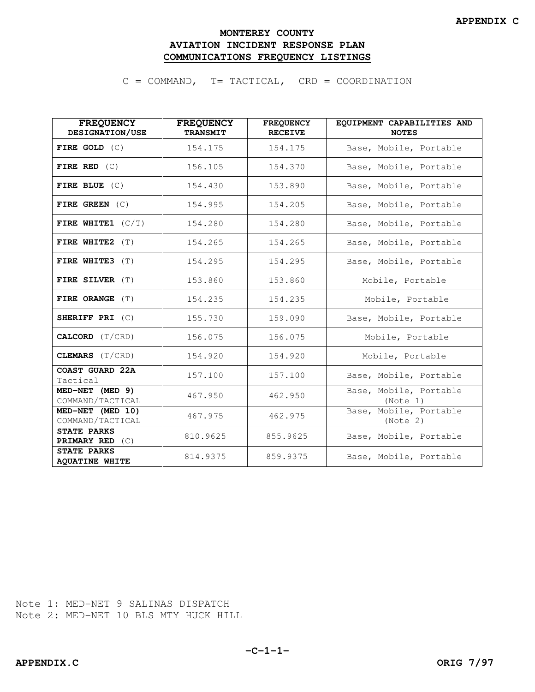# **MONTEREY COUNTY AVIATION INCIDENT RESPONSE PLAN COMMUNICATIONS FREQUENCY LISTINGS**

C = COMMAND, T= TACTICAL, CRD = COORDINATION

| <b>FREQUENCY</b><br>DESIGNATION/USE         | <b>FREQUENCY</b><br><b>TRANSMIT</b> | <b>FREQUENCY</b><br><b>RECEIVE</b> | EQUIPMENT CAPABILITIES AND<br><b>NOTES</b> |
|---------------------------------------------|-------------------------------------|------------------------------------|--------------------------------------------|
| FIRE GOLD $(C)$                             | 154.175                             | 154.175                            | Base, Mobile, Portable                     |
| FIRE RED $(C)$                              | 156.105                             | 154.370                            | Base, Mobile, Portable                     |
| FIRE BLUE $(C)$                             | 154.430                             | 153.890                            | Base, Mobile, Portable                     |
| FIRE GREEN $(C)$                            | 154.995                             | 154.205                            | Base, Mobile, Portable                     |
| FIRE WHITE1 $(C/T)$                         | 154.280                             | 154.280                            | Base, Mobile, Portable                     |
| FIRE WHITE $2$ (T)                          | 154.265                             | 154.265                            | Base, Mobile, Portable                     |
| FIRE WHITE3 (T)                             | 154.295                             | 154.295                            | Base, Mobile, Portable                     |
| FIRE SILVER (T)                             | 153.860                             | 153.860                            | Mobile, Portable                           |
| FIRE ORANGE (T)                             | 154.235                             | 154.235                            | Mobile, Portable                           |
| SHERIFF PRI $(C)$                           | 155.730                             | 159.090                            | Base, Mobile, Portable                     |
| CALCORD (T/CRD)                             | 156.075                             | 156.075                            | Mobile, Portable                           |
| CLEMARS (T/CRD)                             | 154.920                             | 154.920                            | Mobile, Portable                           |
| COAST GUARD 22A<br>Tactical                 | 157.100                             | 157.100                            | Base, Mobile, Portable                     |
| MED-NET (MED 9)<br>COMMAND/TACTICAL         | 467.950                             | 462.950                            | Base, Mobile, Portable<br>(Note 1)         |
| MED-NET (MED 10)<br>COMMAND/TACTICAL        | 467.975                             | 462.975                            | Base, Mobile, Portable<br>(Note 2)         |
| <b>STATE PARKS</b><br>PRIMARY RED (C)       | 810.9625                            | 855.9625                           | Base, Mobile, Portable                     |
| <b>STATE PARKS</b><br><b>AQUATINE WHITE</b> | 814.9375                            | 859.9375                           | Base, Mobile, Portable                     |

Note 1: MED-NET 9 SALINAS DISPATCH Note 2: MED-NET 10 BLS MTY HUCK HILL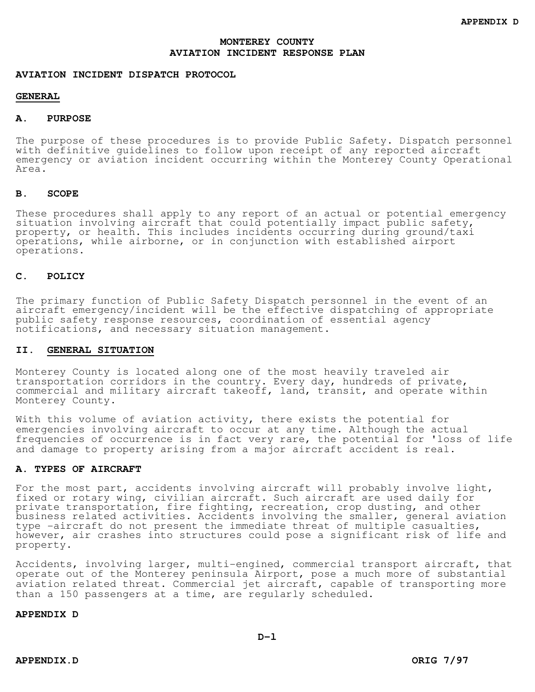#### **AVIATION INCIDENT DISPATCH PROTOCOL**

### **GENERAL**

#### **A. PURPOSE**

The purpose of these procedures is to provide Public Safety. Dispatch personnel with definitive guidelines to follow upon receipt of any reported aircraft emergency or aviation incident occurring within the Monterey County Operational Area.

#### **B. SCOPE**

These procedures shall apply to any report of an actual or potential emergency situation involving aircraft that could potentially impact public safety, property, or health. This includes incidents occurring during ground/taxi operations, while airborne, or in conjunction with established airport operations.

## **C. POLICY**

The primary function of Public Safety Dispatch personnel in the event of an aircraft emergency/incident will be the effective dispatching of appropriate public safety response resources, coordination of essential agency notifications, and necessary situation management.

## **II. GENERAL SITUATION**

Monterey County is located along one of the most heavily traveled air transportation corridors in the country. Every day, hundreds of private, commercial and military aircraft takeoff, land, transit, and operate within Monterey County.

With this volume of aviation activity, there exists the potential for emergencies involving aircraft to occur at any time. Although the actual frequencies of occurrence is in fact very rare, the potential for 'loss of life and damage to property arising from a major aircraft accident is real.

## **A. TYPES OF AIRCRAFT**

For the most part, accidents involving aircraft will probably involve light, fixed or rotary wing, civilian aircraft. Such aircraft are used daily for private transportation, fire fighting, recreation, crop dusting, and other business related activities. Accidents involving the smaller, general aviation type -aircraft do not present the immediate threat of multiple casualties, however, air crashes into structures could pose a significant risk of life and property.

Accidents, involving larger, multi-engined, commercial transport aircraft, that operate out of the Monterey peninsula Airport, pose a much more of substantial aviation related threat. Commercial jet aircraft, capable of transporting more than a 150 passengers at a time, are regularly scheduled.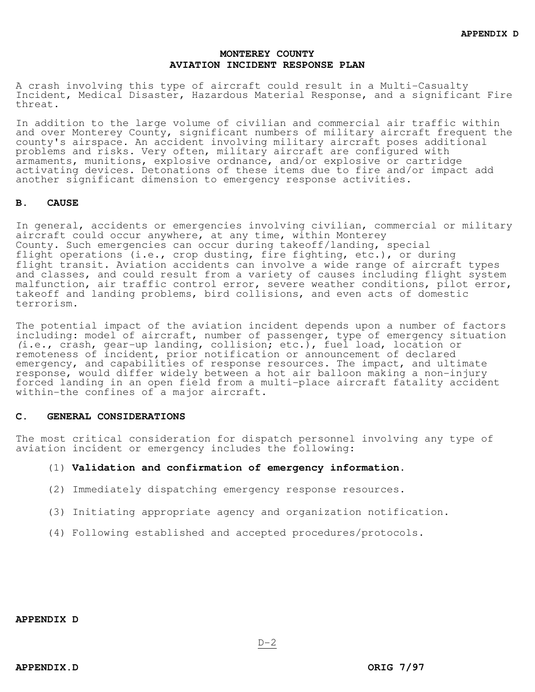A crash involving this type of aircraft could result in a Multi-Casualty Incident, Medical Disaster, Hazardous Material Response, and a significant Fire threat.

In addition to the large volume of civilian and commercial air traffic within and over Monterey County, significant numbers of military aircraft frequent the county's airspace. An accident involving military aircraft poses additional problems and risks. Very often, military aircraft are configured with armaments, munitions, explosive ordnance, and/or explosive or cartridge activating devices. Detonations of these items due to fire and/or impact add another significant dimension to emergency response activities.

#### **B. CAUSE**

In general, accidents or emergencies involving civilian, commercial or military aircraft could occur anywhere, at any time, within Monterey County. Such emergencies can occur during takeoff/landing, special flight operations (i.e., crop dusting, fire fighting, etc.), or during flight transit. Aviation accidents can involve a wide range of aircraft types and classes, and could result from a variety of causes including flight system malfunction, air traffic control error, severe weather conditions, pilot error, takeoff and landing problems, bird collisions, and even acts of domestic terrorism.

The potential impact of the aviation incident depends upon a number of factors including: model of aircraft, number of passenger, type of emergency situation (i.e., crash, gear-up landing, collision; etc.), fuel load, location or remoteness of incident, prior notification or announcement of declared emergency, and capabilities of response resources. The impact, and ultimate response, would differ widely between a hot air balloon making a non-injury forced landing in an open field from a multi-place aircraft fatality accident within-the confines of a major aircraft.

#### **C. GENERAL CONSIDERATIONS**

The most critical consideration for dispatch personnel involving any type of aviation incident or emergency includes the following:

#### (1) **Validation and confirmation of emergency information**.

- (2) Immediately dispatching emergency response resources.
- (3) Initiating appropriate agency and organization notification.
- (4) Following established and accepted procedures/protocols.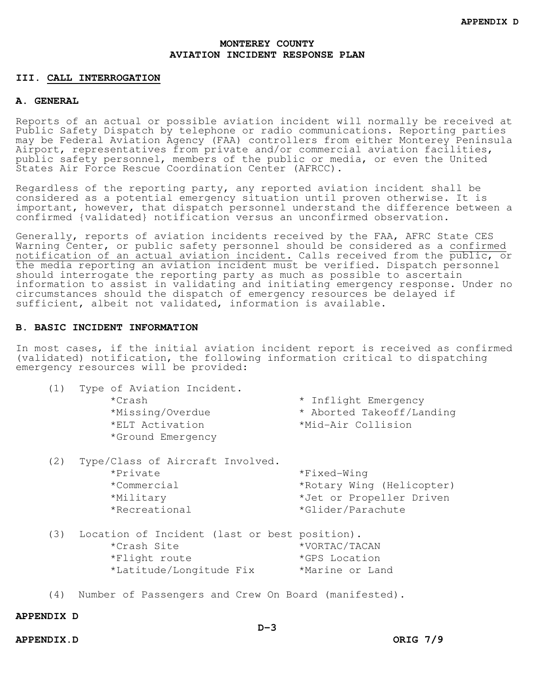#### **III. CALL INTERROGATION**

#### **A. GENERAL**

Reports of an actual or possible aviation incident will normally be received at Public Safety Dispatch by telephone or radio communications. Reporting parties may be Federal Aviation Agency (FAA) controllers from either Monterey Peninsula Airport, representatives from private and/or commercial aviation facilities, public safety personnel, members of the public or media, or even the United States Air Force Rescue Coordination Center (AFRCC).

Regardless of the reporting party, any reported aviation incident shall be considered as a potential emergency situation until proven otherwise. It is important, however, that dispatch personnel understand the difference between a confirmed {validated} notification versus an unconfirmed observation.

Generally, reports of aviation incidents received by the FAA, AFRC State CES Warning Center, or public safety personnel should be considered as a confirmed notification of an actual aviation incident. Calls received from the public, or the media reporting an aviation incident must be verified. Dispatch personnel should interrogate the reporting party as much as possible to ascertain information to assist in validating and initiating emergency response. Under no circumstances should the dispatch of emergency resources be delayed if sufficient, albeit not validated, information is available.

## **B. BASIC INCIDENT INFORMATION**

In most cases, if the initial aviation incident report is received as confirmed (validated) notification, the following information critical to dispatching emergency resources will be provided:

| (1) | Type of Aviation Incident.<br>*Crash<br>*Missing/Overdue<br>*ELT Activation<br>*Ground Emergency         | * Inflight Emergency<br>* Aborted Takeoff/Landing<br>*Mid-Air Collision                   |
|-----|----------------------------------------------------------------------------------------------------------|-------------------------------------------------------------------------------------------|
| (2) | Type/Class of Aircraft Involved.<br>*Private<br>*Commercial<br>*Military<br>*Recreational                | *Fixed-Wing<br>*Rotary Wing (Helicopter)<br>*Jet or Propeller Driven<br>*Glider/Parachute |
| (3) | Location of Incident (last or best position).<br>*Crash Site<br>*Flight route<br>*Latitude/Longitude Fix | *VORTAC/TACAN<br>*GPS Location<br>*Marine or Land                                         |

(4) Number of Passengers and Crew On Board (manifested).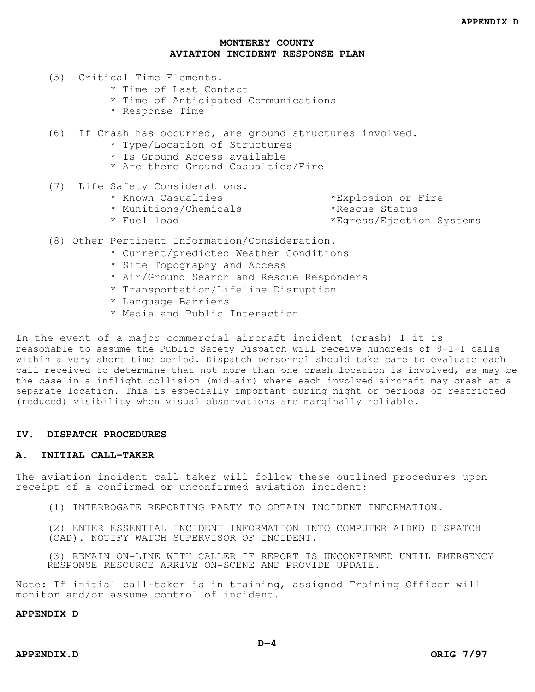- (5) Critical Time Elements.
	- \* Time of Last Contact
	- \* Time of Anticipated Communications
	- \* Response Time
- (6) If Crash has occurred, are ground structures involved.
	- \* Type/Location of Structures
	- \* Is Ground Access available
	- \* Are there Ground Casualties/Fire
- (7) Life Safety Considerations.
	- \* Known Casualties \*Explosion or Fire
	- \* Munitions/Chemicals \*Rescue Status

\* Fuel load \*Egress/Ejection Systems

- (8) Other Pertinent Information/Consideration.
	- \* Current/predicted Weather Conditions
	- \* Site Topography and Access
	- \* Air/Ground Search and Rescue Responders
	- \* Transportation/Lifeline Disruption
	- \* Language Barriers
	- \* Media and Public Interaction

In the event of a major commercial aircraft incident (crash) I it is reasonable to assume the Public Safety Dispatch will receive hundreds of 9-1-1 calls within a very short time period. Dispatch personnel should take care to evaluate each call received to determine that not more than one crash location is involved, as may be the case in a inflight collision (mid-air) where each involved aircraft may crash at a separate location. This is especially important during night or periods of restricted (reduced) visibility when visual observations are marginally reliable.

## **IV. DISPATCH PROCEDURES**

#### **A. INITIAL CALL-TAKER**

The aviation incident call-taker will follow these outlined procedures upon receipt of a confirmed or unconfirmed aviation incident:

(l) INTERROGATE REPORTING PARTY TO OBTAIN INCIDENT INFORMATION.

(2) ENTER ESSENTIAL INCIDENT INFORMATION INTO COMPUTER AIDED DISPATCH (CAD). NOTIFY WATCH SUPERVISOR OF INCIDENT.

(3) REMAIN ON-LINE WITH CALLER IF REPORT IS UNCONFIRMED UNTIL EMERGENCY RESPONSE RESOURCE ARRIVE ON-SCENE AND PROVIDE UPDATE.

Note: If initial call-taker is in training, assigned Training Officer will monitor and/or assume control of incident.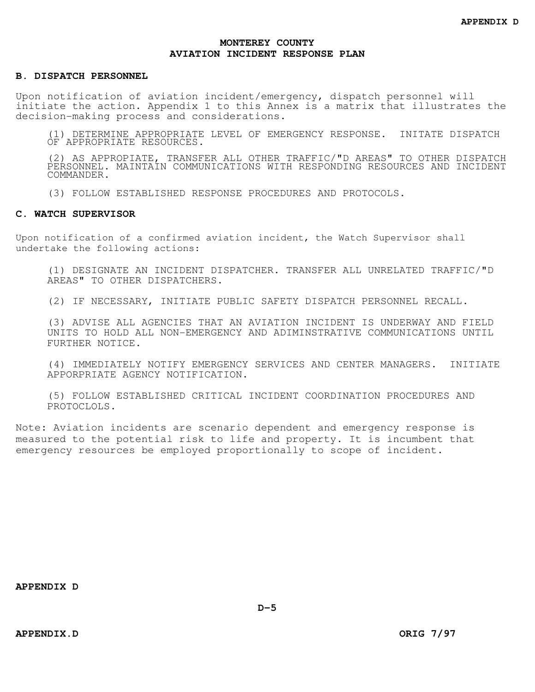#### **B. DISPATCH PERSONNEL**

Upon notification of aviation incident/emergency, dispatch personnel will initiate the action. Appendix 1 to this Annex is a matrix that illustrates the decision-making process and considerations.

(1) DETERMINE APPROPRIATE LEVEL OF EMERGENCY RESPONSE. INITATE DISPATCH OF APPROPRIATE RESOURCES.

(2) AS APPROPIATE, TRANSFER ALL OTHER TRAFFIC/"D AREAS" TO OTHER DISPATCH PERSONNEL. MAINTAIN COMMUNICATIONS WITH RESPONDING RESOURCES AND INCIDENT COMMANDER.

(3) FOLLOW ESTABLISHED RESPONSE PROCEDURES AND PROTOCOLS.

#### **C. WATCH SUPERVISOR**

Upon notification of a confirmed aviation incident, the Watch Supervisor shall undertake the following actions:

(1) DESIGNATE AN INCIDENT DISPATCHER. TRANSFER ALL UNRELATED TRAFFIC/"D AREAS" TO OTHER DISPATCHERS.

(2) IF NECESSARY, INITIATE PUBLIC SAFETY DISPATCH PERSONNEL RECALL.

(3) ADVISE ALL AGENCIES THAT AN AVIATION INCIDENT IS UNDERWAY AND FIELD UNITS TO HOLD ALL NON-EMERGENCY AND ADIMINSTRATIVE COMMUNICATIONS UNTIL FURTHER NOTICE.

(4) IMMEDIATELY NOTIFY EMERGENCY SERVICES AND CENTER MANAGERS. INITIATE APPORPRIATE AGENCY NOTIFICATION.

(5) FOLLOW ESTABLISHED CRITICAL INCIDENT COORDINATION PROCEDURES AND PROTOCLOLS.

Note: Aviation incidents are scenario dependent and emergency response is measured to the potential risk to life and property. It is incumbent that emergency resources be employed proportionally to scope of incident.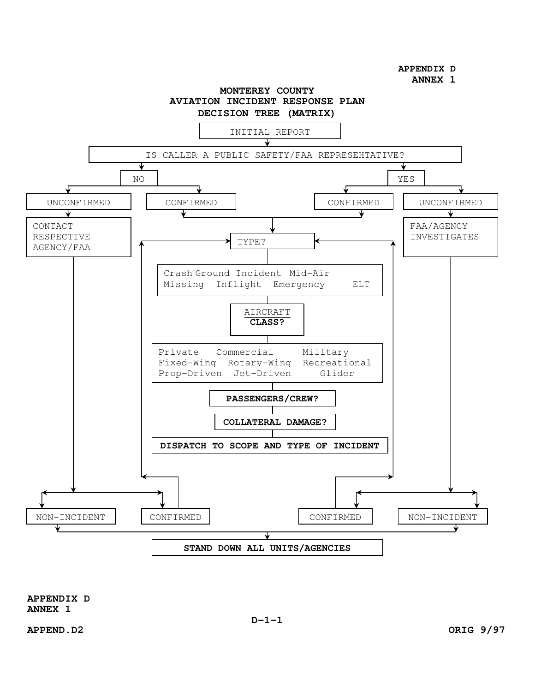**APPENDIX D** 

**ANNEX 1** 



**APPENDIX D ANNEX 1**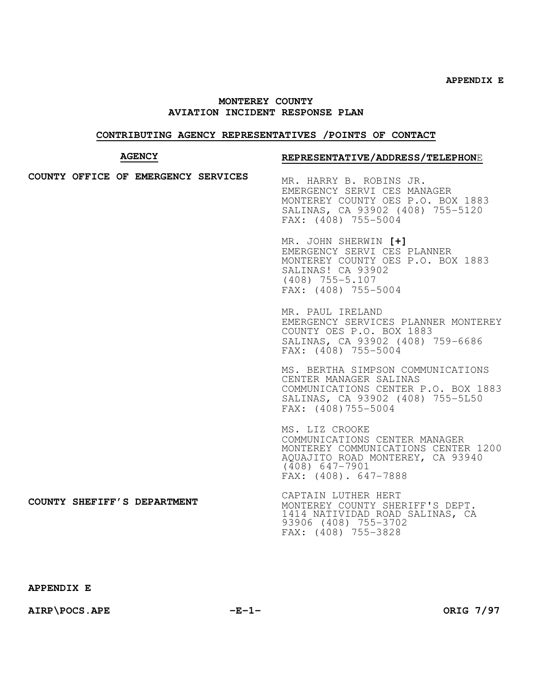## **CONTRIBUTING AGENCY REPRESENTATIVES /POINTS OF CONTACT**

# **REPRESENTATIVE/ADDRESS/TELEPHON**E

| <b>AGENCY</b> |  |  |                                     | REPRESENTATIVE/ADDRESS/TELEPHONE                                                                                                                                       |
|---------------|--|--|-------------------------------------|------------------------------------------------------------------------------------------------------------------------------------------------------------------------|
|               |  |  | COUNTY OFFICE OF EMERGENCY SERVICES | MR. HARRY B. ROBINS JR.<br>EMERGENCY SERVI CES MANAGER<br>MONTEREY COUNTY OES P.O. BOX 1883<br>SALINAS, CA 93902 (408) 755-5120<br>FAX: (408) 755-5004                 |
|               |  |  |                                     | MR. JOHN SHERWIN [+]<br>EMERGENCY SERVI CES PLANNER<br>MONTEREY COUNTY OES P.O. BOX 1883<br>SALINAS! CA 93902<br>$(408)$ 755-5.107<br>FAX: (408) 755-5004              |
|               |  |  |                                     | MR. PAUL IRELAND<br>EMERGENCY SERVICES PLANNER MONTEREY<br>COUNTY OES P.O. BOX 1883<br>SALINAS, CA 93902 (408) 759-6686<br>FAX: (408) 755-5004                         |
|               |  |  |                                     | MS. BERTHA SIMPSON COMMUNICATIONS<br>CENTER MANAGER SALINAS<br>COMMUNICATIONS CENTER P.O. BOX 1883<br>SALINAS, CA 93902 (408) 755-5150<br>FAX: (408)755-5004           |
|               |  |  |                                     | MS. LIZ CROOKE<br>COMMUNICATIONS CENTER MANAGER<br>MONTEREY COMMUNICATIONS CENTER 1200<br>AQUAJITO ROAD MONTEREY, CA 93940<br>$(408)$ 647-7901<br>FAX: (408). 647-7888 |
|               |  |  | COUNTY SHEFIFF'S DEPARTMENT         | CAPTAIN LUTHER HERT<br>MONTEREY COUNTY SHERIFF'S DEPT.<br>1414 NATIVIDAD ROAD SALINAS, CA<br>93906 (408) 755-3702<br>FAX: (408) 755-3828                               |

**AIRP\POCS.APE -E-1- ORIG 7/97**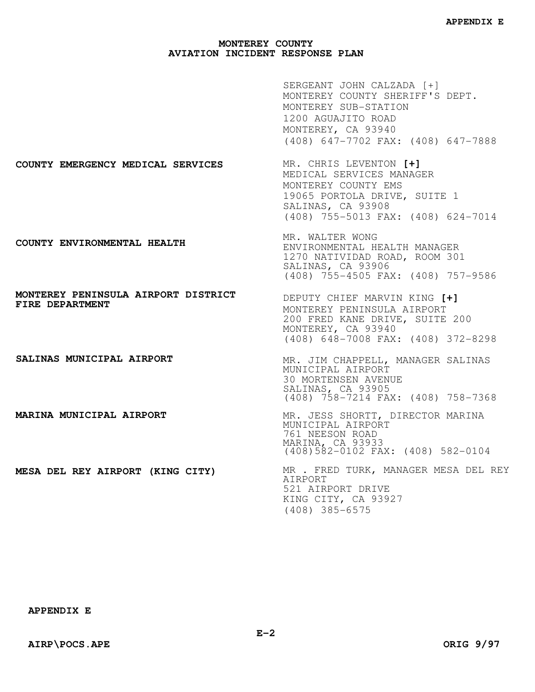|                                                        | SERGEANT JOHN CALZADA [+]<br>MONTEREY COUNTY SHERIFF'S DEPT.<br>MONTEREY SUB-STATION<br>1200 AGUAJITO ROAD<br>MONTEREY, CA 93940<br>(408) 647-7702 FAX: (408) 647-7888 |
|--------------------------------------------------------|------------------------------------------------------------------------------------------------------------------------------------------------------------------------|
| COUNTY EMERGENCY MEDICAL SERVICES                      | MR. CHRIS LEVENTON [+]<br>MEDICAL SERVICES MANAGER<br>MONTEREY COUNTY EMS<br>19065 PORTOLA DRIVE, SUITE 1<br>SALINAS, CA 93908<br>(408) 755-5013 FAX: (408) 624-7014   |
| COUNTY ENVIRONMENTAL HEALTH                            | MR. WALTER WONG<br>ENVIRONMENTAL HEALTH MANAGER<br>1270 NATIVIDAD ROAD, ROOM 301<br>SALINAS, CA 93906<br>(408) 755-4505 FAX: (408) 757-9586                            |
| MONTEREY PENINSULA AIRPORT DISTRICT<br>FIRE DEPARTMENT | DEPUTY CHIEF MARVIN KING [+]<br>MONTEREY PENINSULA AIRPORT<br>200 FRED KANE DRIVE, SUITE 200<br>MONTEREY, CA 93940<br>(408) 648-7008 FAX: (408) 372-8298               |
| SALINAS MUNICIPAL AIRPORT                              | MR. JIM CHAPPELL, MANAGER SALINAS<br>MUNICIPAL AIRPORT<br>30 MORTENSEN AVENUE<br>SALINAS, CA 93905<br>(408) 758-7214 FAX: (408) 758-7368                               |
| MARINA MUNICIPAL AIRPORT                               | MR. JESS SHORTT, DIRECTOR MARINA<br>MUNICIPAL AIRPORT<br>761 NEESON ROAD<br>MARINA, CA 93933<br>(408) 582-0102 FAX: (408) 582-0104                                     |
| MESA DEL REY AIRPORT (KING CITY)                       | MR . FRED TURK, MANAGER MESA DEL REY<br>AIRPORT<br>521 AIRPORT DRIVE<br>KING CITY, CA 93927<br>$(408)$ 385-6575                                                        |

# **APPENDIX E**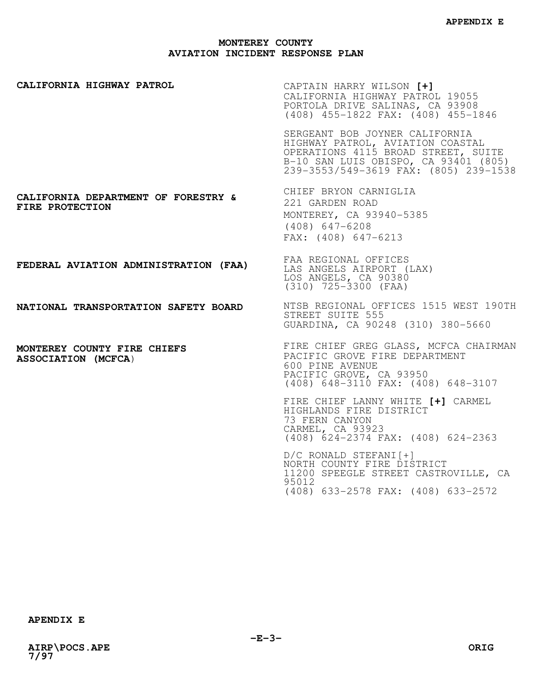**CALIFORNIA HIGHWAY PATROL CALIFORNIA DEPARTMENT OF FORESTRY & FIRE PROTECTION FEDERAL AVIATION ADMINISTRATION (FAA) NATIONAL TRANSPORTATION SAFETY BOARD MONTEREY COUNTY FIRE CHIEFS ASSOCIATION (MCFCA**) CAPTAIN HARRY WILSON **[+]**  CALIFORNIA HIGHWAY PATROL 19055 PORTOLA DRIVE SALINAS, CA 93908 (408) 455-1822 FAX: (408) 455-1846 SERGEANT BOB JOYNER CALIFORNIA HIGHWAY PATROL, AVIATION COASTAL OPERATIONS 4115 BROAD STREET, SUITE B-10 SAN LUIS OBISPO, CA 93401 (805) 239-3553/549-3619 FAX: (805) 239-1538 CHIEF BRYON CARNIGLIA 221 GARDEN ROAD MONTEREY, CA 93940-5385 (408) 647-6208 FAX: (408) 647-6213 FAA REGIONAL OFFICES LAS ANGELS AIRPORT (LAX) LOS ANGELS, CA 90380 (310) 725-3300 (FAA) NTSB REGIONAL OFFICES 1515 WEST 190TH STREET SUITE 555 GUARDINA, CA 90248 (310) 380-5660 FIRE CHIEF GREG GLASS, MCFCA CHAIRMAN PACIFIC GROVE FIRE DEPARTMENT 600 PINE AVENUE PACIFIC GROVE, CA 93950 (408) 648-3110 FAX: (408) 648-3107 FIRE CHIEF LANNY WHITE **[+]** CARMEL HIGHLANDS FIRE DISTRICT 73 FERN CANYON CARMEL, CA 93923 (408) 624-2374 FAX: (408) 624-2363 D/C RONALD STEFANI[+] NORTH COUNTY FIRE DISTRICT 11200 SPEEGLE STREET CASTROVILLE, CA 95012

(408) 633-2578 FAX: (408) 633-2572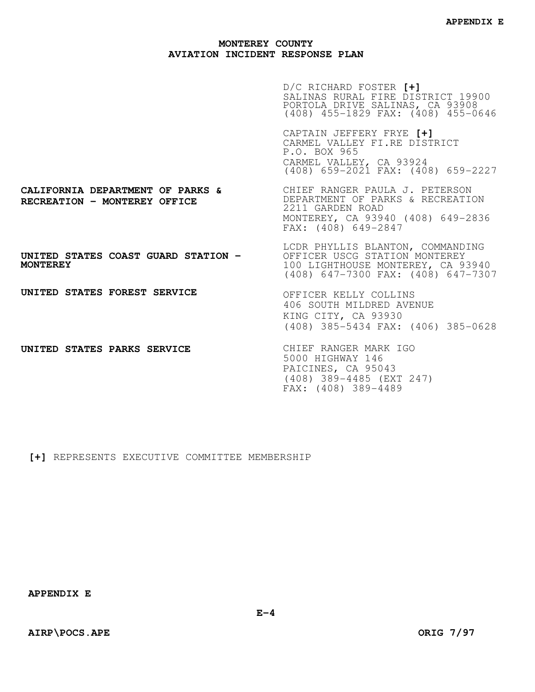|                                                                                                             | D/C RICHARD FOSTER [+]<br>SALINAS RURAL FIRE DISTRICT 19900<br>PORTOLA DRIVE SALINAS, CA 93908<br>(408) 455-1829 FAX: (408) 455-0646         |
|-------------------------------------------------------------------------------------------------------------|----------------------------------------------------------------------------------------------------------------------------------------------|
|                                                                                                             | CAPTAIN JEFFERY FRYE [+]<br>CARMEL VALLEY FI.RE DISTRICT<br>P.O. BOX 965<br>CARMEL VALLEY, CA 93924<br>(408) 659-2021 FAX: (408) 659-2227    |
| <b>CALIFORNIA DEPARTMENT OF PARKS &amp; SAULLY RANGER PAULA J. PETERSON</b><br>RECREATION - MONTEREY OFFICE | DEPARTMENT OF PARKS & RECREATION<br>2211 GARDEN ROAD<br>MONTEREY, CA 93940 (408) 649-2836<br>FAX: (408) 649-2847                             |
| UNITED STATES COAST GUARD STATION -<br><b>MONTEREY</b>                                                      | LCDR PHYLLIS BLANTON, COMMANDING<br>OFFICER USCG STATION MONTEREY<br>100 LIGHTHOUSE MONTEREY, CA 93940<br>(408) 647-7300 FAX: (408) 647-7307 |
| UNITED STATES FOREST SERVICE                                                                                | OFFICER KELLY COLLINS<br>406 SOUTH MILDRED AVENUE<br>KING CITY, CA 93930<br>(408) 385-5434 FAX: (406) 385-0628                               |
| UNITED STATES PARKS SERVICE                                                                                 | CHIEF RANGER MARK IGO<br>5000 HIGHWAY 146<br>PAICINES, CA 95043<br>(408) 389-4485 (EXT 247)<br>FAX: (408) 389-4489                           |

**[+]** REPRESENTS EXECUTIVE COMMITTEE MEMBERSHIP

**APPENDIX E**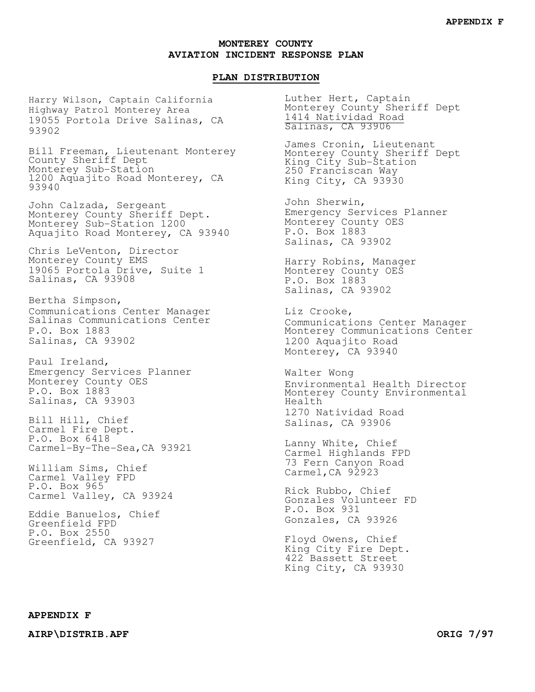#### **PLAN DISTRIBUTION**

Harry Wilson, Captain California Highway Patrol Monterey Area 19055 Portola Drive Salinas, CA 93902

Bill Freeman, Lieutenant Monterey County Sheriff Dept Monterey Sub-Station 1200 Aquajito Road Monterey, CA 93940

John Calzada, Sergeant Monterey County Sheriff Dept. Monterey Sub-Station 1200 Aquajito Road Monterey, CA 93940

Chris LeVenton, Director Monterey County EMS 19065 Portola Drive, Suite 1 Salinas, CA 93908

Bertha Simpson, Communications Center Manager Salinas Communications Center P.O. Box 1883 Salinas, CA 93902

Paul Ireland, Emergency Services Planner Monterey County OES P.O. Box 1883 Salinas, CA 93903

Bill Hill, Chief Carmel Fire Dept. P.O. Box 6418 Carmel-By-The-Sea,CA 93921

William Sims, Chief Carmel Valley FPD P.O. Box 965 Carmel Valley, CA 93924

Eddie Banuelos, Chief Greenfield FPD P.O. Box 2550 Greenfield, CA 93927

Luther Hert, Captain Monterey County Sheriff Dept 1414 Natividad Road Salinas, CA 93906

James Cronin, Lieutenant Monterey County Sheriff Dept King City Sub-Station 250 Franciscan Way King City, CA 93930

John Sherwin, Emergency Services Planner Monterey County OES P.O. Box 1883 Salinas, CA 93902

Harry Robins, Manager Monterey County OES P.O. Box 1883 Salinas, CA 93902

Liz Crooke, Communications Center Manager Monterey Communications Center 1200 Aquajito Road Monterey, CA 93940

Walter Wong Environmental Health Director Monterey County Environmental Health 1270 Natividad Road Salinas, CA 93906

Lanny White, Chief Carmel Highlands FPD 73 Fern Canyon Road Carmel, CA 92923

Rick Rubbo, Chief Gonzales Volunteer FD P.O. Box 931 Gonzales, CA 93926

Floyd Owens, Chief King City Fire Dept. 422 Bassett Street King City, CA 93930

## **APPENDIX F**

**AIRP\DISTRIB.APF ORIG 7/97**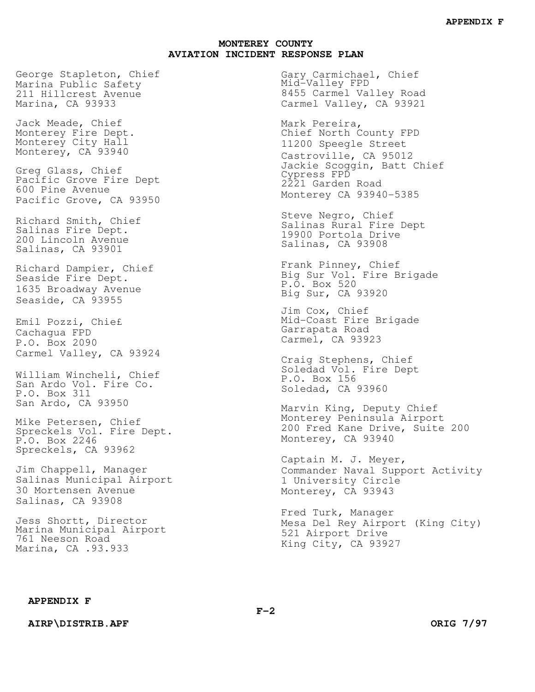George Stapleton, Chief Marina Public Safety 211 Hillcrest Avenue Marina, CA 93933

Jack Meade, Chief Monterey Fire Dept. Monterey City Hall Monterey, CA 93940

Greg Glass, Chief Pacific Grove Fire Dept 600 Pine Avenue Pacific Grove, CA 93950

Richard Smith, Chief Salinas Fire Dept. 200 Lincoln Avenue Salinas, CA 93901

Richard Dampier, Chief Seaside Fire Dept. 1635 Broadway Avenue Seaside, CA 93955

Emil Pozzi, Chie£ Cachagua FPD P.O. Box 2090 Carmel Valley, CA 93924

William Wincheli, Chief San Ardo Vol. Fire Co. P.O. Box 311 San Ardo, CA 93950

Mike Petersen, Chief Spreckels Vol. Fire Dept. P.O. Box 2246 Spreckels, CA 93962

Jim Chappell, Manager Salinas Municipal Airport 30 Mortensen Avenue Salinas, CA 93908

Jess Shortt, Director Marina Municipal Airport 761 Neeson Road Marina, CA .93.933

Gary Carmichael, Chief Mid-Valley FPD 8455 Carmel Valley Road Carmel Valley, CA 93921

Mark Pereira, Chief North County FPD 11200 Speegle Street Castroville, CA 95012 Jackie Scoggin, Batt Chief Cypress FPD 2221 Garden Road Monterey CA 93940-5385

Steve Negro, Chief Salinas Rural Fire Dept 19900 Portola Drive Salinas, CA 93908

Frank Pinney, Chief Big Sur Vol. Fire Brigade P.O. Box 520 Big Sur, CA 93920

Jim Cox, Chief Mid-Coast Fire Brigade Garrapata Road Carmel, CA 93923

Craig Stephens, Chief Soledad Vol. Fire Dept P.O. Box 156 Soledad, CA 93960

Marvin King, Deputy Chief Monterey Peninsula Airport 200 Fred Kane Drive, Suite 200 Monterey, CA 93940

Captain M. J. Meyer, Commander Naval Support Activity 1 University Circle Monterey, CA 93943

Fred Turk, Manager Mesa Del Rey Airport (King City) 521 Airport Drive King City, CA 93927

#### **APPENDIX F**

**AIRP\DISTRIB.APF** ORIG 7/97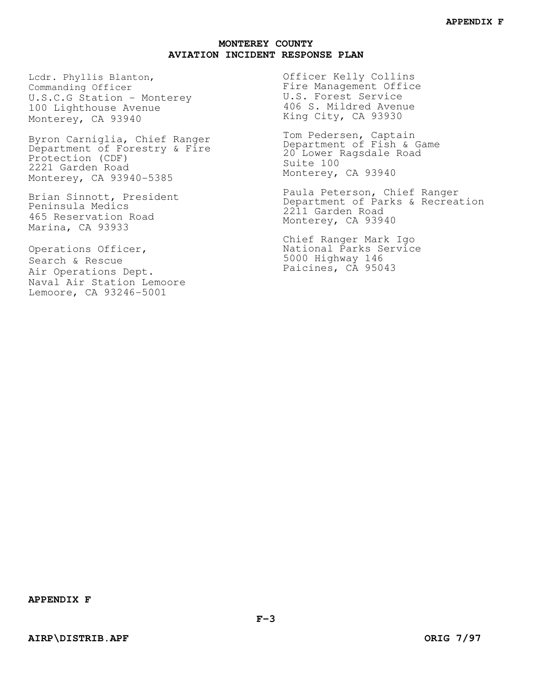Lcdr. Phyllis Blanton, Commanding Officer U.S.C.G Station - Monterey 100 Lighthouse Avenue Monterey, CA 93940

Byron Carniglia, Chief Ranger Department of Forestry & Fire Protection (CDF) 2221 Garden Road Monterey, CA 93940-5385

Brian Sinnott, President Peninsula Medics 465 Reservation Road Marina, CA 93933

Operations Officer, Search & Rescue Air Operations Dept. Naval Air Station Lemoore Lemoore, CA 93246-5001

Officer Kelly Collins Fire Management Office U.S. Forest Service 406 S. Mildred Avenue King City, CA 93930

Tom Pedersen, Captain Department of Fish & Game 20 Lower Ragsdale Road Suite 100 Monterey, CA 93940

Paula Peterson, Chief Ranger Department of Parks & Recreation 2211 Garden Road Monterey, CA 93940

Chief Ranger Mark Igo National Parks Service 5000 Highway 146 Paicines, CA 95043

**APPENDIX F**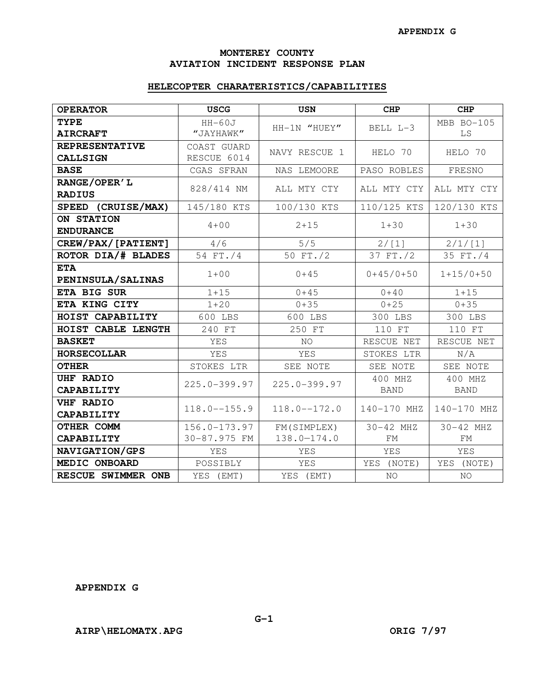## **MONTEREY COUNTY AVIATION INCIDENT RESPONSE PLAN**

## **HELECOPTER CHARATERISTICS/CAPABILITIES**

| <b>OPERATOR</b>                          | <b>USCG</b>                      | <b>USN</b>                 | <b>CHP</b>             | <b>CHP</b>             |
|------------------------------------------|----------------------------------|----------------------------|------------------------|------------------------|
| <b>TYPE</b><br><b>AIRCRAFT</b>           | $HH-60J$<br>"JAYHAWK"            | HH-1N "HUEY"               | BELL L-3               | MBB BO-105<br>LS       |
| <b>REPRESENTATIVE</b><br><b>CALLSIGN</b> | COAST GUARD<br>RESCUE 6014       | NAVY RESCUE 1              | HELO 70                | HELO 70                |
| <b>BASE</b>                              | CGAS SFRAN                       | NAS LEMOORE                | PASO ROBLES            | FRESNO                 |
| RANGE/OPER'L<br><b>RADIUS</b>            | 828/414 NM                       | ALL MTY CTY                | ALL MTY CTY            | ALL MTY CTY            |
| SPEED (CRUISE/MAX)                       | 145/180 KTS                      | 100/130 KTS                | 110/125 KTS            | 120/130 KTS            |
| ON STATION<br><b>ENDURANCE</b>           | $4 + 00$                         | $2 + 15$                   | $1 + 30$               | $1 + 30$               |
| CREW/PAX/[PATIENT]                       | 4/6                              | 5/5                        | 2/[1]                  | 2/1/[1]                |
| ROTOR DIA/# BLADES                       | 54 FT./4                         | 50 FT./2                   | 37 FT./2               | 35 FT./4               |
| <b>ETA</b><br>PENINSULA/SALINAS          | $1 + 00$                         | $0 + 45$                   | $0+45/0+50$            | $1+15/0+50$            |
| ETA BIG SUR                              | $1 + 15$                         | $0 + 45$                   | $0 + 40$               | $1 + 15$               |
| ETA KING CITY                            | $1 + 20$                         | $0 + 35$                   | $0 + 25$               | $0 + 35$               |
| HOIST CAPABILITY                         | 600 LBS                          | 600 LBS                    | 300 LBS                | 300 LBS                |
| HOIST CABLE LENGTH                       | 240 FT                           | 250 FT                     | 110 FT                 | 110 FT                 |
| <b>BASKET</b>                            | YES                              | NO.                        | RESCUE NET             | RESCUE NET             |
| <b>HORSECOLLAR</b>                       | YES                              | YES                        | STOKES LTR             | N/A                    |
| <b>OTHER</b>                             | STOKES LTR                       | SEE NOTE                   | SEE NOTE               | SEE NOTE               |
| <b>UHF RADIO</b><br>CAPABILITY           | 225.0-399.97                     | $225.0 - 399.97$           | 400 MHZ<br><b>BAND</b> | 400 MHZ<br><b>BAND</b> |
| <b>VHF RADIO</b><br>CAPABILITY           | $118.0 - 155.9$                  | $118.0 - -172.0$           | 140-170 MHZ            | 140-170 MHZ            |
| OTHER COMM<br>CAPABILITY                 | $156.0 - 173.97$<br>30-87.975 FM | FM(SIMPLEX)<br>138.0-174.0 | 30-42 MHZ<br>FM        | 30-42 MHZ<br>FM        |
| NAVIGATION/GPS                           | YES                              | YES                        | YES                    | <b>YES</b>             |
| MEDIC ONBOARD                            | POSSIBLY                         | YES                        | YES (NOTE)             | YES (NOTE)             |
| RESCUE SWIMMER ONB                       | YES (EMT)                        | YES (EMT)                  | NO.                    | NO                     |

**APPENDIX G**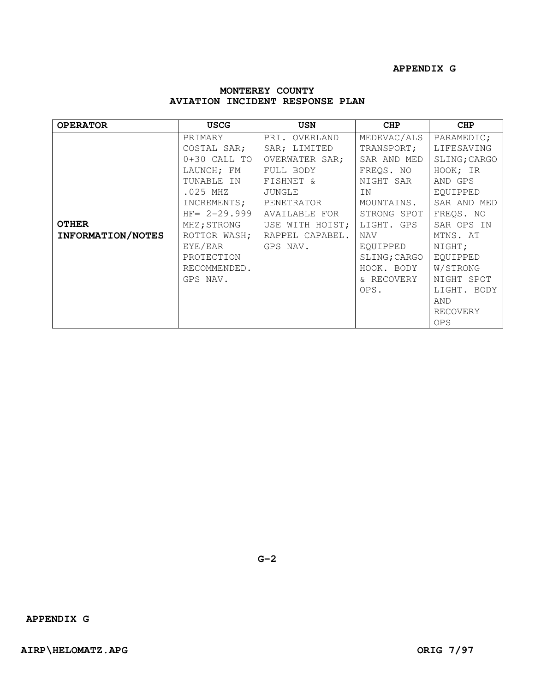| <b>OPERATOR</b>   | <b>USCG</b>     | <b>USN</b>      | CHP          | <b>CHP</b>   |
|-------------------|-----------------|-----------------|--------------|--------------|
|                   | PRIMARY         | PRI. OVERLAND   | MEDEVAC/ALS  | PARAMEDIC;   |
|                   | COSTAL SAR;     | SAR; LIMITED    | TRANSPORT;   | LIFESAVING   |
|                   | $0+30$ CALL TO  | OVERWATER SAR;  | SAR AND MED  | SLING; CARGO |
|                   | LAUNCH; FM      | FULL BODY       | FREQS. NO    | HOOK; IR     |
|                   | TUNABLE IN      | FISHNET &       | NIGHT SAR    | AND GPS      |
|                   | $.025$ MHZ      | JUNGLE          | ΙN           | EQUIPPED     |
|                   | INCREMENTS;     | PENETRATOR      | MOUNTAINS.   | SAR AND MED  |
|                   | $HF = 2-29.999$ | AVAILABLE FOR   | STRONG SPOT  | FREQS. NO    |
| <b>OTHER</b>      | MHZ;STRONG      | USE WITH HOIST; | LIGHT. GPS   | SAR OPS IN   |
| INFORMATION/NOTES | ROTTOR WASH;    | RAPPEL CAPABEL. | NAV          | MTNS. AT     |
|                   | EYE/EAR         | GPS NAV.        | EQUIPPED     | NIGHT;       |
|                   | PROTECTION      |                 | SLING; CARGO | EQUIPPED     |
|                   | RECOMMENDED.    |                 | HOOK. BODY   | W/STRONG     |
|                   | GPS NAV.        |                 | & RECOVERY   | NIGHT SPOT   |
|                   |                 |                 | OPS.         | LIGHT. BODY  |
|                   |                 |                 |              | AND          |
|                   |                 |                 |              | RECOVERY     |
|                   |                 |                 |              | <b>OPS</b>   |

## **MONTEREY COUNTY AVIATION INCIDENT RESPONSE PLAN**

**APPENDIX G**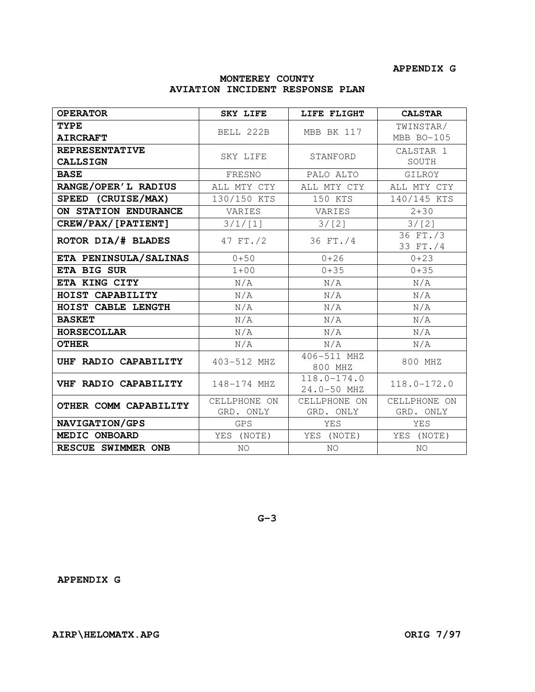# **MONTEREY COUNTY AVIATION INCIDENT RESPONSE PLAN**

| <b>OPERATOR</b>                          | <b>SKY LIFE</b>           | LIFE FLIGHT                    | <b>CALSTAR</b>            |
|------------------------------------------|---------------------------|--------------------------------|---------------------------|
| <b>TYPE</b>                              |                           |                                | TWINSTAR/                 |
| <b>AIRCRAFT</b>                          | BELL 222B                 | MBB BK 117                     | MBB BO-105                |
| <b>REPRESENTATIVE</b><br><b>CALLSIGN</b> | SKY LIFE                  | STANFORD                       | CALSTAR 1<br>SOUTH        |
| <b>BASE</b>                              | FRESNO                    | PALO ALTO                      | GILROY                    |
| RANGE/OPER'L RADIUS                      | ALL MTY CTY               | ALL MTY CTY                    | ALL MTY CTY               |
| SPEED (CRUISE/MAX)                       | 130/150 KTS               | 150 KTS                        | 140/145 KTS               |
| ON STATION ENDURANCE                     | VARIES                    | VARIES                         | $2 + 30$                  |
| CREW/PAX/[PATIENT]                       | 3/1/[1]                   | 3/[2]                          | 3/[2]                     |
| ROTOR DIA/# BLADES                       | 47 FT./2                  | 36 FT./4                       | 36 FT./3<br>33 FT./4      |
| ETA PENINSULA/SALINAS                    | $0 + 50$                  | $0 + 26$                       | $0 + 23$                  |
| ETA BIG SUR                              | $1 + 00$                  | $0 + 35$                       | $0 + 35$                  |
| ETA KING CITY                            | N/A                       | N/A                            | N/A                       |
| HOIST CAPABILITY                         | N/A                       | N/A                            | N/A                       |
| HOIST CABLE LENGTH                       | N/A                       | N/A                            | N/A                       |
| <b>BASKET</b>                            | N/A                       | N/A                            | N/A                       |
| <b>HORSECOLLAR</b>                       | N/A                       | N/A                            | N/A                       |
| <b>OTHER</b>                             | N/A                       | N/A                            | N/A                       |
| UHF RADIO CAPABILITY                     | 403-512 MHZ               | 406-511 MHZ<br>800 MHZ         | 800 MHZ                   |
| VHF RADIO CAPABILITY                     | 148-174 MHZ               | $118.0 - 174.0$<br>24.0-50 MHZ | $118.0 - 172.0$           |
| OTHER COMM CAPABILITY                    | CELLPHONE ON<br>GRD. ONLY | CELLPHONE ON<br>GRD. ONLY      | CELLPHONE ON<br>GRD. ONLY |
| NAVIGATION/GPS                           | <b>GPS</b>                | <b>YES</b>                     | <b>YES</b>                |
| MEDIC ONBOARD                            | YES (NOTE)                | YES (NOTE)                     | YES (NOTE)                |
| RESCUE SWIMMER ONB                       | NO.                       | NO.                            | NO.                       |

**G-3** 

**APPENDIX G**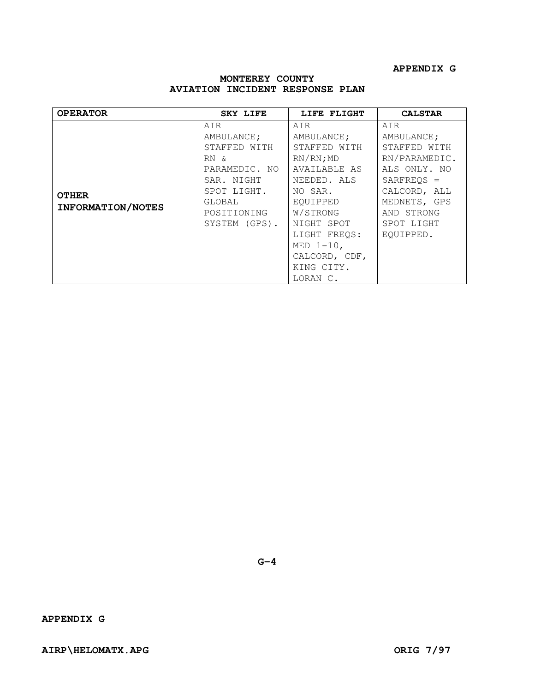| AIR<br>AIR<br>AIR<br>AMBULANCE;<br>AMBULANCE;<br>STAFFED WITH<br>STAFFED WITH                                                                                                                                                                                                                    | <b>OPERATOR</b> | <b>CALSTAR</b>                                                                                                                                       |
|--------------------------------------------------------------------------------------------------------------------------------------------------------------------------------------------------------------------------------------------------------------------------------------------------|-----------------|------------------------------------------------------------------------------------------------------------------------------------------------------|
| $RN/RN$ ; MD<br>RN &<br>PARAMEDIC. NO<br>AVAILABLE AS<br>SAR. NIGHT<br>NEEDED. ALS<br>SPOT LIGHT.<br>NO SAR.<br><b>OTHER</b><br>EQUIPPED<br>GLOBAL<br>INFORMATION/NOTES<br>W/STRONG<br>POSITIONING<br>SYSTEM (GPS).<br>NIGHT SPOT<br>LIGHT FREOS:<br>MED $1-10$ ,<br>CALCORD, CDF,<br>KING CITY. |                 | AMBULANCE;<br>STAFFED WITH<br>RN/PARAMEDIC.<br>ALS ONLY. NO<br>$SARFREOS =$<br>CALCORD, ALL<br>MEDNETS, GPS<br>AND STRONG<br>SPOT LIGHT<br>EOUIPPED. |

# **MONTEREY COUNTY AVIATION INCIDENT RESPONSE PLAN**

**G-4** 

**APPENDIX G**

AIRP\HELOMATX.APG **ORIG 7/97**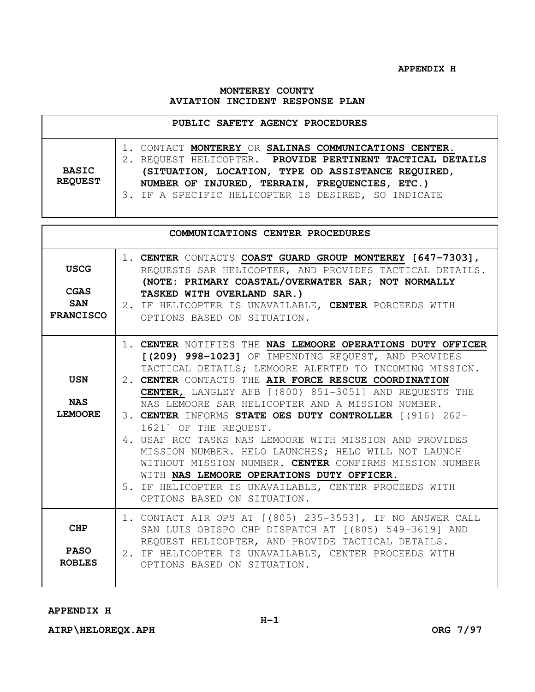**APPENDIX H** 

## **MONTEREY COUNTY AVIATION INCIDENT RESPONSE PLAN**

| PUBLIC SAFETY AGENCY PROCEDURES |                                                                                                                                                                                                                                                                                |  |
|---------------------------------|--------------------------------------------------------------------------------------------------------------------------------------------------------------------------------------------------------------------------------------------------------------------------------|--|
| <b>BASIC</b><br><b>REQUEST</b>  | 1. CONTACT MONTEREY OR SALINAS COMMUNICATIONS CENTER.<br>REQUEST HELICOPTER. PROVIDE PERTINENT TACTICAL DETAILS<br>(SITUATION, LOCATION, TYPE OD ASSISTANCE REQUIRED,<br>NUMBER OF INJURED, TERRAIN, FREQUENCIES, ETC.)<br>3. IF A SPECIFIC HELICOPTER IS DESIRED, SO INDICATE |  |

|                                                              | COMMUNICATIONS CENTER PROCEDURES                                                                                                                                                                                                                                                                                                                                                                                                                                                                                                                                                                                                                                                                                                                      |
|--------------------------------------------------------------|-------------------------------------------------------------------------------------------------------------------------------------------------------------------------------------------------------------------------------------------------------------------------------------------------------------------------------------------------------------------------------------------------------------------------------------------------------------------------------------------------------------------------------------------------------------------------------------------------------------------------------------------------------------------------------------------------------------------------------------------------------|
| <b>USCG</b><br><b>CGAS</b><br><b>SAN</b><br><b>FRANCISCO</b> | 1. CENTER CONTACTS COAST GUARD GROUP MONTEREY [647-7303],<br>REQUESTS SAR HELICOPTER, AND PROVIDES TACTICAL DETAILS.<br>(NOTE: PRIMARY COASTAL/OVERWATER SAR; NOT NORMALLY<br>TASKED WITH OVERLAND SAR.)<br>2. IF HELICOPTER IS UNAVAILABLE, CENTER PORCEEDS WITH<br>OPTIONS BASED ON SITUATION.                                                                                                                                                                                                                                                                                                                                                                                                                                                      |
| <b>USN</b><br><b>NAS</b><br><b>LEMOORE</b>                   | 1. CENTER NOTIFIES THE NAS LEMOORE OPERATIONS DUTY OFFICER<br>[(209) 998-1023] OF IMPENDING REQUEST, AND PROVIDES<br>TACTICAL DETAILS; LEMOORE ALERTED TO INCOMING MISSION.<br>2. CENTER CONTACTS THE AIR FORCE RESCUE COORDINATION<br>CENTER, LANGLEY AFB [(800) 851-3051] AND REQUESTS THE<br>NAS LEMOORE SAR HELICOPTER AND A MISSION NUMBER.<br>3. CENTER INFORMS STATE OES DUTY CONTROLLER [(916) 262-<br>1621] OF THE REQUEST.<br>4. USAF RCC TASKS NAS LEMOORE WITH MISSION AND PROVIDES<br>MISSION NUMBER. HELO LAUNCHES; HELO WILL NOT LAUNCH<br>WITHOUT MISSION NUMBER. CENTER CONFIRMS MISSION NUMBER<br>WITH NAS LEMOORE OPERATIONS DUTY OFFICER.<br>5. IF HELICOPTER IS UNAVAILABLE, CENTER PROCEEDS WITH<br>OPTIONS BASED ON SITUATION. |
| <b>CHP</b><br><b>PASO</b><br><b>ROBLES</b>                   | 1. CONTACT AIR OPS AT [(805) 235-3553], IF NO ANSWER CALL<br>SAN LUIS OBISPO CHP DISPATCH AT [(805) 549-3619] AND<br>REQUEST HELICOPTER, AND PROVIDE TACTICAL DETAILS.<br>2. IF HELICOPTER IS UNAVAILABLE, CENTER PROCEEDS WITH<br>OPTIONS BASED ON SITUATION.                                                                                                                                                                                                                                                                                                                                                                                                                                                                                        |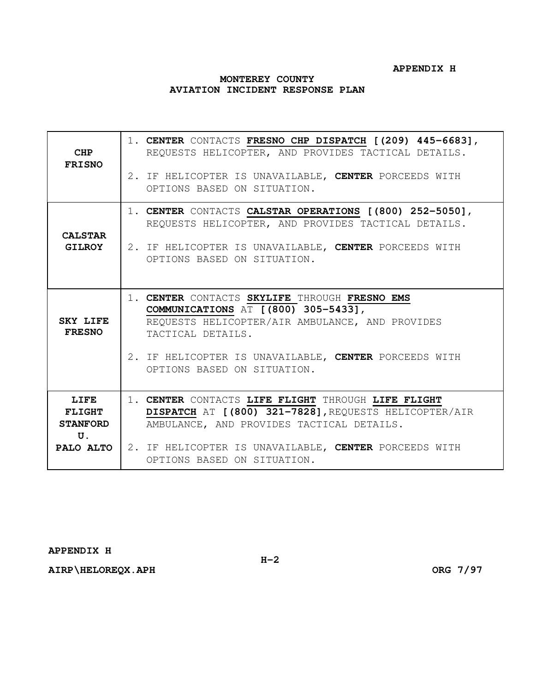## **APPENDIX H**

## **MONTEREY COUNTY AVIATION INCIDENT RESPONSE PLAN**

| CHP<br><b>FRISNO</b>                           | 1. CENTER CONTACTS FRESNO CHP DISPATCH [(209) 445-6683],<br>REQUESTS HELICOPTER, AND PROVIDES TACTICAL DETAILS.<br>2. IF HELICOPTER IS UNAVAILABLE, CENTER PORCEEDS WITH<br>OPTIONS BASED ON SITUATION.                                                             |
|------------------------------------------------|---------------------------------------------------------------------------------------------------------------------------------------------------------------------------------------------------------------------------------------------------------------------|
| <b>CALSTAR</b><br><b>GILROY</b>                | 1. CENTER CONTACTS CALSTAR OPERATIONS [(800) 252-5050],<br>REQUESTS HELICOPTER, AND PROVIDES TACTICAL DETAILS.<br>2. IF HELICOPTER IS UNAVAILABLE, CENTER PORCEEDS WITH<br>OPTIONS BASED ON SITUATION.                                                              |
| <b>SKY LIFE</b><br><b>FRESNO</b>               | 1. CENTER CONTACTS SKYLIFE THROUGH FRESNO EMS<br>COMMUNICATIONS AT [(800) 305-5433],<br>REQUESTS HELICOPTER/AIR AMBULANCE, AND PROVIDES<br>TACTICAL DETAILS.<br>2. IF HELICOPTER IS UNAVAILABLE, CENTER PORCEEDS WITH<br>OPTIONS BASED ON SITUATION.                |
| LIFE<br><b>FLIGHT</b><br><b>STANFORD</b><br>U. | 1. CENTER CONTACTS LIFE FLIGHT THROUGH LIFE FLIGHT<br>DISPATCH AT [(800) 321-7828], REQUESTS HELICOPTER/AIR<br>AMBULANCE, AND PROVIDES TACTICAL DETAILS.<br><b>PALO ALTO</b>   2. IF HELICOPTER IS UNAVAILABLE, CENTER PORCEEDS WITH<br>OPTIONS BASED ON SITUATION. |

## **APPENDIX H**

AIRP\HELOREQX.APH **DELACTION CONG 7/97**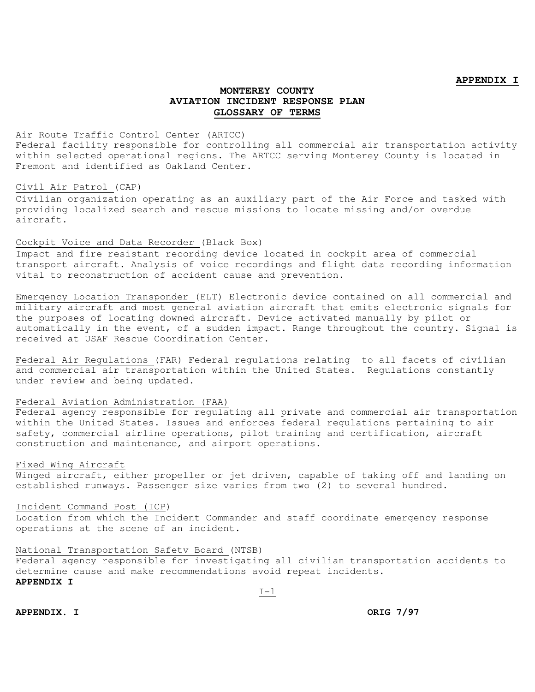#### **APPENDIX I**

## **MONTEREY COUNTY AVIATION INCIDENT RESPONSE PLAN GLOSSARY OF TERMS**

### Air Route Traffic Control Center (ARTCC)

Federal facility responsible for controlling all commercial air transportation activity within selected operational regions. The ARTCC serving Monterey County is located in Fremont and identified as Oakland Center.

#### Civil Air Patrol (CAP)

Civilian organization operating as an auxiliary part of the Air Force and tasked with providing localized search and rescue missions to locate missing and/or overdue aircraft.

#### Cockpit Voice and Data Recorder (Black Box)

Impact and fire resistant recording device located in cockpit area of commercial transport aircraft. Analysis of voice recordings and flight data recording information vital to reconstruction of accident cause and prevention.

Emerqency Location Transponder (ELT) Electronic device contained on all commercial and military aircraft and most general aviation aircraft that emits electronic signals for the purposes of locating downed aircraft. Device activated manually by pilot or automatically in the event, of a sudden impact. Range throughout the country. Signal is received at USAF Rescue Coordination Center.

Federal Air Regulations (FAR) Federal regulations relating to all facets of civilian and commercial air transportation within the United States. Regulations constantly under review and being updated.

## Federal Aviation Administration (FAA)

Federal agency responsible for regulating all private and commercial air transportation within the United States. Issues and enforces federal regulations pertaining to air safety, commercial airline operations, pilot training and certification, aircraft construction and maintenance, and airport operations.

#### Fixed Wing Aircraft

Winged aircraft, either propeller or jet driven, capable of taking off and landing on established runways. Passenger size varies from two (2) to several hundred.

#### Incident Command Post (ICP)

Location from which the Incident Commander and staff coordinate emergency response operations at the scene of an incident.

#### National Transportation Safetv Board (NTSB)

Federal agency responsible for investigating all civilian transportation accidents to determine cause and make recommendations avoid repeat incidents. **APPENDIX I** 

 $I-1$ 

**APPENDIX.** I ORIG 7/97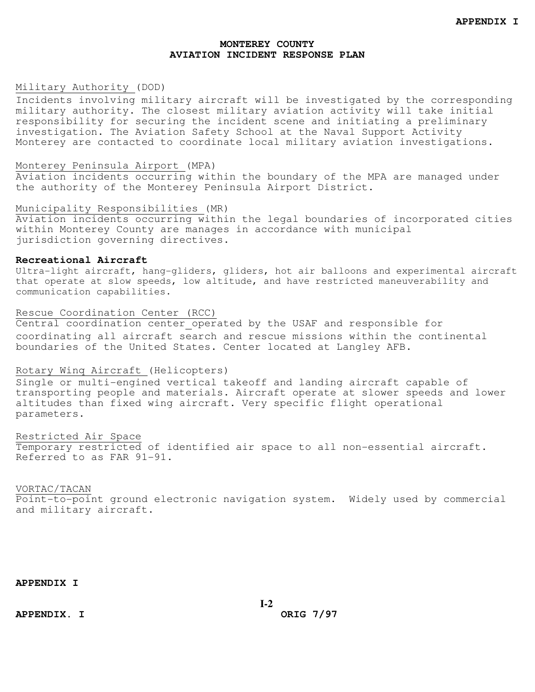## Military Authority (DOD)

Incidents involving military aircraft will be investigated by the corresponding military authority. The closest military aviation activity will take initial responsibility for securing the incident scene and initiating a preliminary investigation. The Aviation Safety School at the Naval Support Activity Monterey are contacted to coordinate local military aviation investigations.

#### Monterey Peninsula Airport (MPA)

Aviation incidents occurring within the boundary of the MPA are managed under the authority of the Monterey Peninsula Airport District.

#### Municipality Responsibilities (MR)

Aviation incidents occurring within the legal boundaries of incorporated cities within Monterey County are manages in accordance with municipal jurisdiction governing directives.

## **Recreational Aircraft**

Ultra-light aircraft, hang-gliders, gliders, hot air balloons and experimental aircraft that operate at slow speeds, low altitude, and have restricted maneuverability and communication capabilities.

### Rescue Coordination Center (RCC)

Central coordination center operated by the USAF and responsible for coordinating all aircraft search and rescue missions within the continental boundaries of the United States. Center located at Langley AFB.

## Rotary Winq Aircraft (Helicopters)

Single or multi-engined vertical takeoff and landing aircraft capable of transporting people and materials. Aircraft operate at slower speeds and lower altitudes than fixed wing aircraft. Very specific flight operational parameters.

Restricted Air Space Temporary restricted of identified air space to all non-essential aircraft. Referred to as FAR 91-91.

## VORTAC/TACAN

Point-to-point ground electronic navigation system. Widely used by commercial and military aircraft.

**APPENDIX I** 

**APPENDIX. I ORIG 7/97**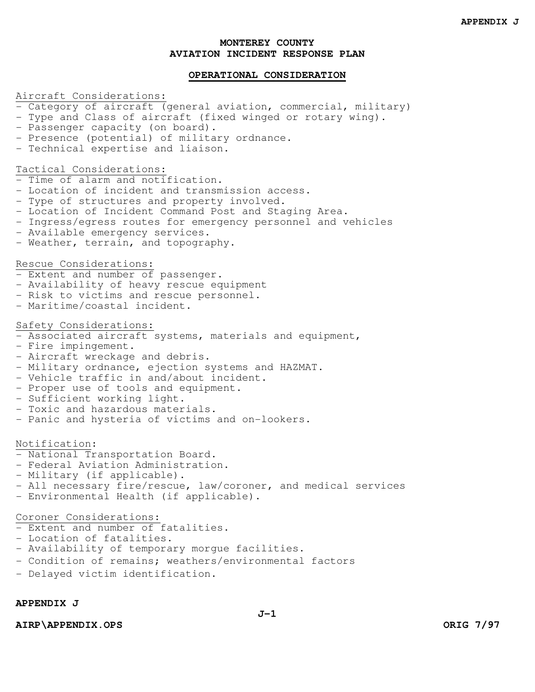## **OPERATIONAL CONSIDERATION**

#### Aircraft Considerations:

- Category of aircraft (general aviation, commercial, military)
- Type and Class of aircraft (fixed winged or rotary wing).
- Passenger capacity (on board).
- Presence (potential) of military ordnance.
- Technical expertise and liaison.

## Tactical Considerations:

- Time of alarm and notification.

- Location of incident and transmission access.
- Type of structures and property involved.
- Location of Incident Command Post and Staging Area.
- Ingress/egress routes for emergency personnel and vehicles
- Available emergency services.
- Weather, terrain, and topography.

#### Rescue Considerations:

- Extent and number of passenger.
- Availability of heavy rescue equipment
- Risk to victims and rescue personnel.
- Maritime/coastal incident.

#### Safety Considerations:

- Associated aircraft systems, materials and equipment,
- Fire impingement.
- Aircraft wreckage and debris.
- Military ordnance, ejection systems and HAZMAT.
- Vehicle traffic in and/about incident.
- Proper use of tools and equipment.
- Sufficient working light.
- Toxic and hazardous materials.
- Panic and hysteria of victims and on-lookers.

#### Notification:

- National Transportation Board.
- Federal Aviation Administration.
- Military (if applicable).
- All necessary fire/rescue, law/coroner, and medical services
- Environmental Health (if applicable).

#### Coroner Considerations:

- Extent and number of fatalities.
- Location of fatalities.
- Availability of temporary morgue facilities.
- Condition of remains; weathers/environmental factors
- Delayed victim identification.

## **APPENDIX J**

**AIRP\APPENDIX.OPS ORIG 7/97**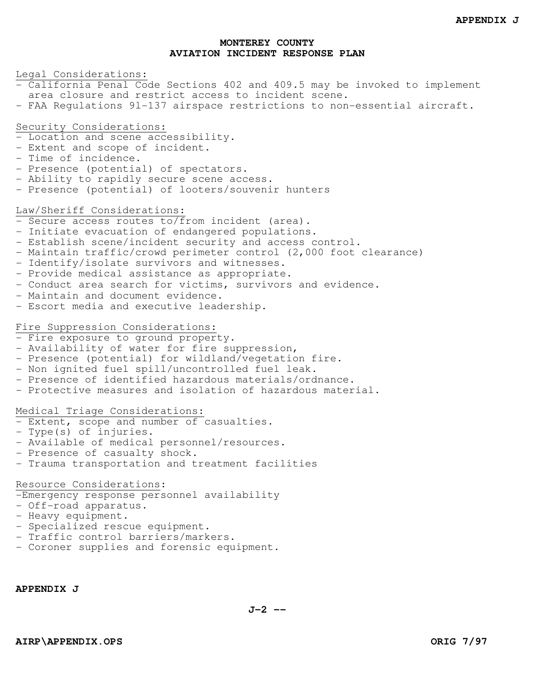## Legal Considerations:

- California Penal Code Sections 402 and 409.5 may be invoked to implement area closure and restrict access to incident scene.
- FAA Regulations 9l-137 airspace restrictions to non-essential aircraft.

#### Security Considerations:

- Location and scene accessibility.
- Extent and scope of incident.
- Time of incidence.
- Presence (potential) of spectators.
- Ability to rapidly secure scene access.
- Presence (potential) of looters/souvenir hunters

### Law/Sheriff Considerations:

- Secure access routes to/from incident (area).
- Initiate evacuation of endangered populations.
- Establish scene/incident security and access control.
- Maintain traffic/crowd perimeter control (2,000 foot clearance)
- Identify/isolate survivors and witnesses.
- Provide medical assistance as appropriate.
- Conduct area search for victims, survivors and evidence.
- Maintain and document evidence.
- Escort media and executive leadership.

#### Fire Suppression Considerations:

- Fire exposure to ground property.
- Availability of water for fire suppression,
- Presence (potential) for wildland/vegetation fire.
- Non ignited fuel spill/uncontrolled fuel leak.
- Presence of identified hazardous materials/ordnance.
- Protective measures and isolation of hazardous material.

### Medical Triage Considerations:

- Extent, scope and number of casualties.
- Type(s) of injuries.
- Available of medical personnel/resources.
- Presence of casualty shock.
- Trauma transportation and treatment facilities

## Resource Considerations:

-Emergency response personnel availability

- Off-road apparatus.
- Heavy equipment.
- Specialized rescue equipment.
- Traffic control barriers/markers.
- Coroner supplies and forensic equipment.

**APPENDIX J** 

**J-2 --**